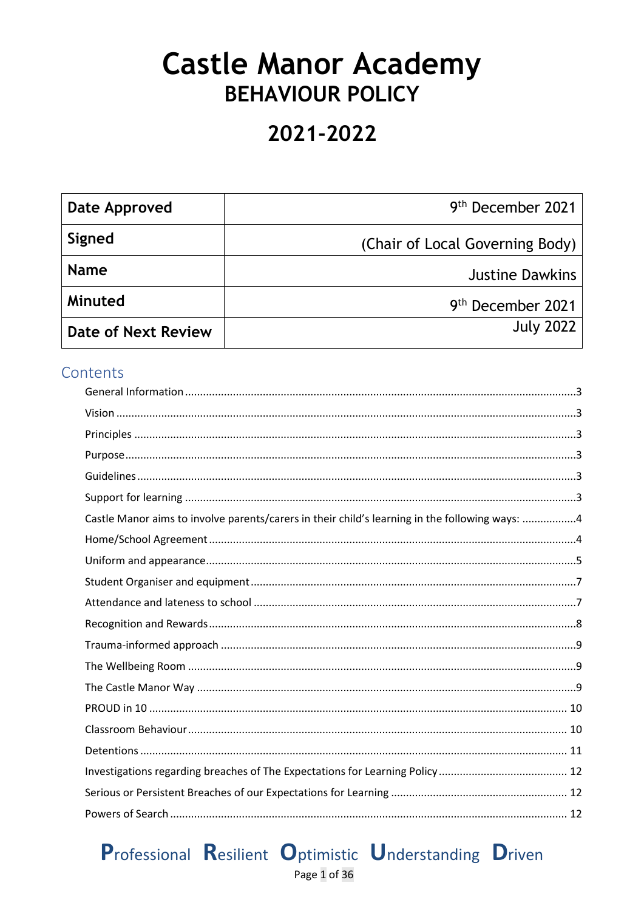# **Castle Manor Academy BEHAVIOUR POLICY**

## 2021-2022

| Date Approved              | 9 <sup>th</sup> December 2021   |
|----------------------------|---------------------------------|
| Signed                     | (Chair of Local Governing Body) |
| <b>Name</b>                | <b>Justine Dawkins</b>          |
| Minuted                    | 9 <sup>th</sup> December 2021   |
| <b>Date of Next Review</b> | <b>July 2022</b>                |

## Contents

| Castle Manor aims to involve parents/carers in their child's learning in the following ways: 4 |
|------------------------------------------------------------------------------------------------|
|                                                                                                |
|                                                                                                |
|                                                                                                |
|                                                                                                |
|                                                                                                |
|                                                                                                |
|                                                                                                |
|                                                                                                |
|                                                                                                |
|                                                                                                |
|                                                                                                |
|                                                                                                |
|                                                                                                |
|                                                                                                |

## Professional Resilient Optimistic Understanding Driven Page 1 of 36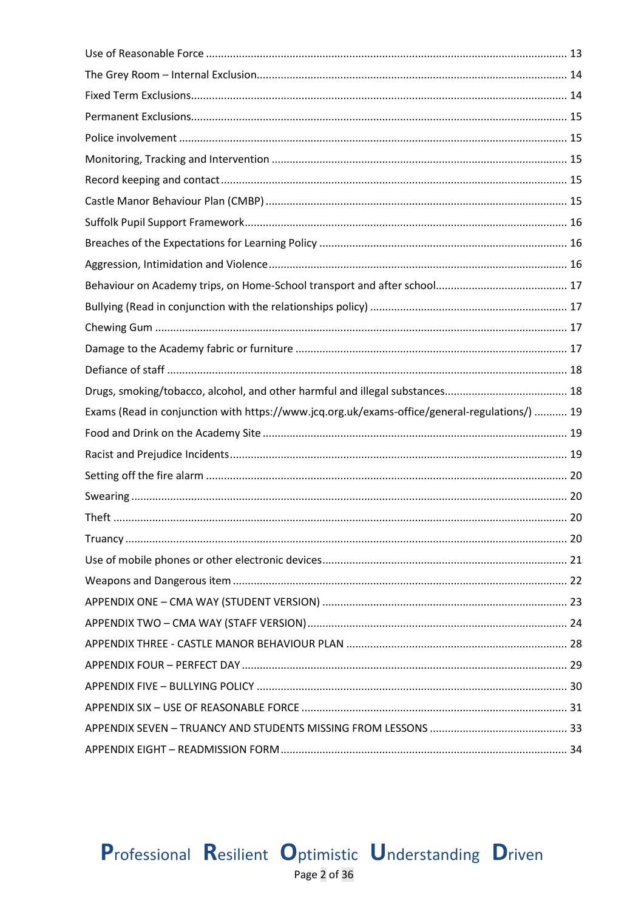| Exams (Read in conjunction with https://www.jcq.org.uk/exams-office/general-regulations/)  19 |  |
|-----------------------------------------------------------------------------------------------|--|
|                                                                                               |  |
|                                                                                               |  |
|                                                                                               |  |
|                                                                                               |  |
|                                                                                               |  |
|                                                                                               |  |
|                                                                                               |  |
|                                                                                               |  |
|                                                                                               |  |
|                                                                                               |  |
|                                                                                               |  |
|                                                                                               |  |
|                                                                                               |  |
|                                                                                               |  |
|                                                                                               |  |
|                                                                                               |  |

Professional Resilient Optimistic Understanding Driven Page 2 of 36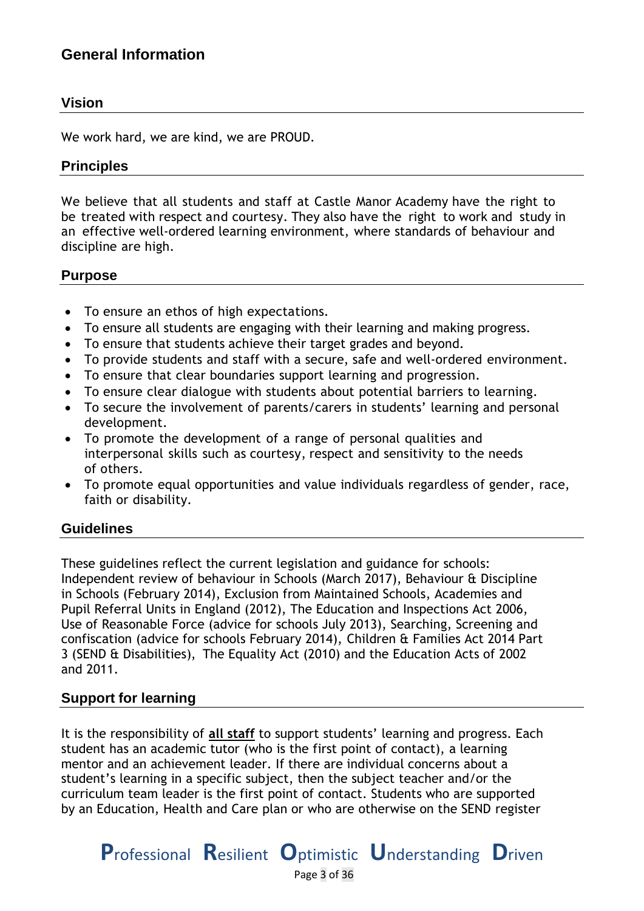## <span id="page-2-0"></span>**General Information**

## <span id="page-2-1"></span>**Vision**

We work hard, we are kind, we are PROUD.

## <span id="page-2-2"></span>**Principles**

We believe that all students and staff at Castle Manor Academy have the right to be treated with respect and courtesy. They also have the right to work and study in an effective well-ordered learning environment, where standards of behaviour and discipline are high.

## <span id="page-2-3"></span>**Purpose**

- To ensure an ethos of high expectations.
- To ensure all students are engaging with their learning and making progress.
- To ensure that students achieve their target grades and beyond.
- To provide students and staff with a secure, safe and well-ordered environment.
- To ensure that clear boundaries support learning and progression.
- To ensure clear dialogue with students about potential barriers to learning.
- To secure the involvement of parents/carers in students' learning and personal development.
- To promote the development of a range of personal qualities and interpersonal skills such as courtesy, respect and sensitivity to the needs of others.
- To promote equal opportunities and value individuals regardless of gender, race, faith or disability.

## <span id="page-2-4"></span>**Guidelines**

These guidelines reflect the current legislation and guidance for schools: Independent review of behaviour in Schools (March 2017), Behaviour & Discipline in Schools (February 2014), Exclusion from Maintained Schools, Academies and Pupil Referral Units in England (2012), The Education and Inspections Act 2006, Use of Reasonable Force (advice for schools July 2013), Searching, Screening and confiscation (advice for schools February 2014), Children & Families Act 2014 Part 3 (SEND & Disabilities), The Equality Act (2010) and the Education Acts of 2002 and 2011.

## <span id="page-2-5"></span>**Support for learning**

It is the responsibility of **all staff** to support students' learning and progress. Each student has an academic tutor (who is the first point of contact), a learning mentor and an achievement leader. If there are individual concerns about a student's learning in a specific subject, then the subject teacher and/or the curriculum team leader is the first point of contact. Students who are supported by an Education, Health and Care plan or who are otherwise on the SEND register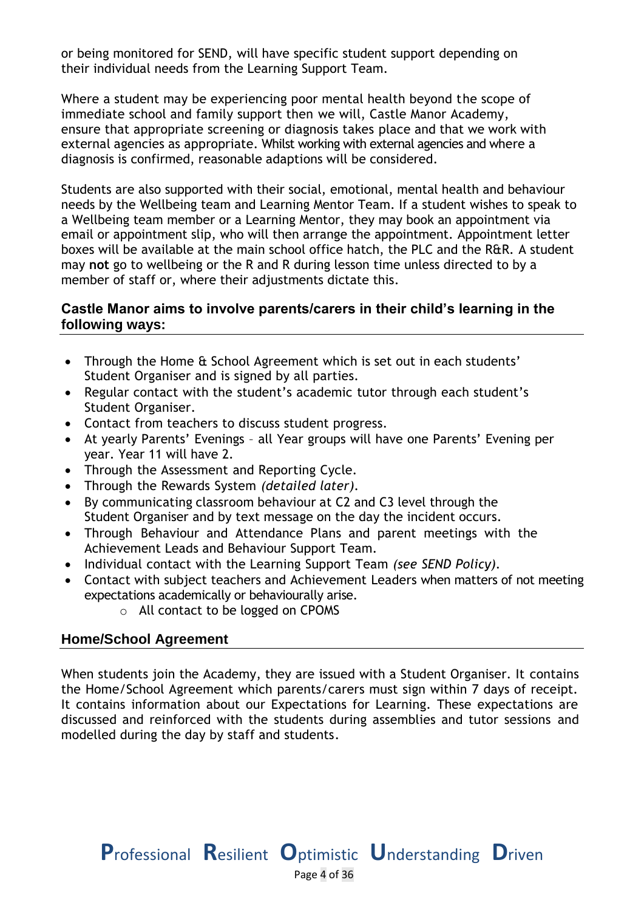or being monitored for SEND, will have specific student support depending on their individual needs from the Learning Support Team.

Where a student may be experiencing poor mental health beyond the scope of immediate school and family support then we will, Castle Manor Academy, ensure that appropriate screening or diagnosis takes place and that we work with external agencies as appropriate. Whilst working with external agencies and where a diagnosis is confirmed, reasonable adaptions will be considered.

Students are also supported with their social, emotional, mental health and behaviour needs by the Wellbeing team and Learning Mentor Team. If a student wishes to speak to a Wellbeing team member or a Learning Mentor, they may book an appointment via email or appointment slip, who will then arrange the appointment. Appointment letter boxes will be available at the main school office hatch, the PLC and the R&R. A student may **not** go to wellbeing or the R and R during lesson time unless directed to by a member of staff or, where their adjustments dictate this.

## <span id="page-3-0"></span>**Castle Manor aims to involve parents/carers in their child's learning in the following ways:**

- Through the Home & School Agreement which is set out in each students' Student Organiser and is signed by all parties.
- Regular contact with the student's academic tutor through each student's Student Organiser.
- Contact from teachers to discuss student progress.
- At yearly Parents' Evenings all Year groups will have one Parents' Evening per year. Year 11 will have 2.
- Through the Assessment and Reporting Cycle.
- Through the Rewards System *(detailed later).*
- By communicating classroom behaviour at C2 and C3 level through the Student Organiser and by text message on the day the incident occurs.
- Through Behaviour and Attendance Plans and parent meetings with the Achievement Leads and Behaviour Support Team.
- Individual contact with the Learning Support Team *(see SEND Policy).*
- Contact with subject teachers and Achievement Leaders when matters of not meeting expectations academically or behaviourally arise.
	- o All contact to be logged on CPOMS

## <span id="page-3-1"></span>**Home/School Agreement**

When students join the Academy, they are issued with a Student Organiser. It contains the Home/School Agreement which parents/carers must sign within 7 days of receipt. It contains information about our Expectations for Learning. These expectations are discussed and reinforced with the students during assemblies and tutor sessions and modelled during the day by staff and students.

**P**rofessional **R**esilient **O**ptimistic **U**nderstanding **D**riven Page 4 of 36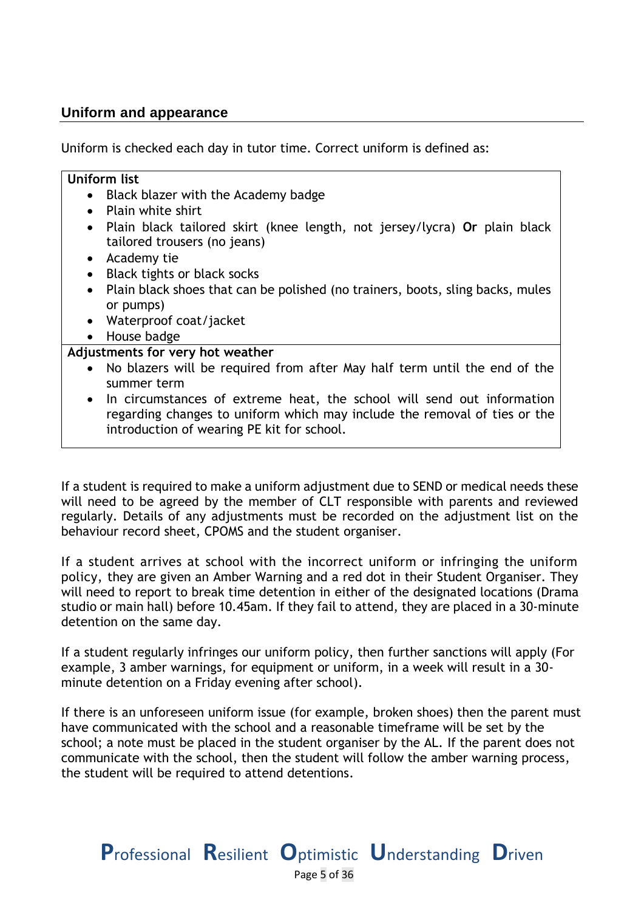## <span id="page-4-0"></span>**Uniform and appearance**

Uniform is checked each day in tutor time. Correct uniform is defined as:

| Uniform list                                                                                                                                                                                      |
|---------------------------------------------------------------------------------------------------------------------------------------------------------------------------------------------------|
| Black blazer with the Academy badge                                                                                                                                                               |
| Plain white shirt                                                                                                                                                                                 |
| Plain black tailored skirt (knee length, not jersey/lycra) Or plain black<br>tailored trousers (no jeans)                                                                                         |
| • Academy tie                                                                                                                                                                                     |
| Black tights or black socks                                                                                                                                                                       |
| • Plain black shoes that can be polished (no trainers, boots, sling backs, mules                                                                                                                  |
| or pumps)                                                                                                                                                                                         |
| • Waterproof coat/jacket                                                                                                                                                                          |
| House badge                                                                                                                                                                                       |
| Adjustments for very hot weather                                                                                                                                                                  |
| No blazers will be required from after May half term until the end of the<br>summer term                                                                                                          |
| In circumstances of extreme heat, the school will send out information<br>regarding changes to uniform which may include the removal of ties or the<br>introduction of wearing PE kit for school. |
|                                                                                                                                                                                                   |

If a student is required to make a uniform adjustment due to SEND or medical needs these will need to be agreed by the member of CLT responsible with parents and reviewed regularly. Details of any adjustments must be recorded on the adjustment list on the behaviour record sheet, CPOMS and the student organiser.

If a student arrives at school with the incorrect uniform or infringing the uniform policy, they are given an Amber Warning and a red dot in their Student Organiser. They will need to report to break time detention in either of the designated locations (Drama studio or main hall) before 10.45am. If they fail to attend, they are placed in a 30-minute detention on the same day.

If a student regularly infringes our uniform policy, then further sanctions will apply (For example, 3 amber warnings, for equipment or uniform, in a week will result in a 30 minute detention on a Friday evening after school).

If there is an unforeseen uniform issue (for example, broken shoes) then the parent must have communicated with the school and a reasonable timeframe will be set by the school; a note must be placed in the student organiser by the AL. If the parent does not communicate with the school, then the student will follow the amber warning process, the student will be required to attend detentions.

**P**rofessional **R**esilient **O**ptimistic **U**nderstanding **D**riven Page 5 of 36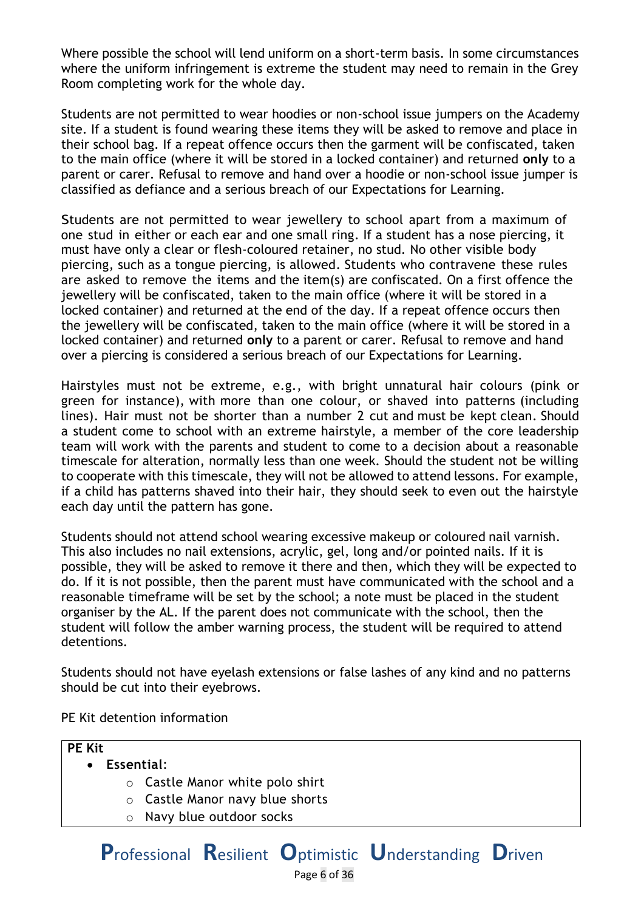Where possible the school will lend uniform on a short-term basis. In some circumstances where the uniform infringement is extreme the student may need to remain in the Grey Room completing work for the whole day.

Students are not permitted to wear hoodies or non-school issue jumpers on the Academy site. If a student is found wearing these items they will be asked to remove and place in their school bag. If a repeat offence occurs then the garment will be confiscated, taken to the main office (where it will be stored in a locked container) and returned **only** to a parent or carer. Refusal to remove and hand over a hoodie or non-school issue jumper is classified as defiance and a serious breach of our Expectations for Learning.

Students are not permitted to wear jewellery to school apart from a maximum of one stud in either or each ear and one small ring. If a student has a nose piercing, it must have only a clear or flesh-coloured retainer, no stud. No other visible body piercing, such as a tongue piercing, is allowed. Students who contravene these rules are asked to remove the items and the item(s) are confiscated. On a first offence the jewellery will be confiscated, taken to the main office (where it will be stored in a locked container) and returned at the end of the day. If a repeat offence occurs then the jewellery will be confiscated, taken to the main office (where it will be stored in a locked container) and returned **only** to a parent or carer. Refusal to remove and hand over a piercing is considered a serious breach of our Expectations for Learning.

Hairstyles must not be extreme, e.g., with bright unnatural hair colours (pink or green for instance), with more than one colour, or shaved into patterns (including lines). Hair must not be shorter than a number 2 cut and must be kept clean. Should a student come to school with an extreme hairstyle, a member of the core leadership team will work with the parents and student to come to a decision about a reasonable timescale for alteration, normally less than one week. Should the student not be willing to cooperate with this timescale, they will not be allowed to attend lessons. For example, if a child has patterns shaved into their hair, they should seek to even out the hairstyle each day until the pattern has gone.

Students should not attend school wearing excessive makeup or coloured nail varnish. This also includes no nail extensions, acrylic, gel, long and/or pointed nails. If it is possible, they will be asked to remove it there and then, which they will be expected to do. If it is not possible, then the parent must have communicated with the school and a reasonable timeframe will be set by the school; a note must be placed in the student organiser by the AL. If the parent does not communicate with the school, then the student will follow the amber warning process, the student will be required to attend detentions.

Students should not have eyelash extensions or false lashes of any kind and no patterns should be cut into their eyebrows.

PE Kit detention information

## **P**rofessional **R**esilient **O**ptimistic **U**nderstanding **D**riven **PE Kit** • **Essential**: o Castle Manor white polo shirt o Castle Manor navy blue shorts o Navy blue outdoor socks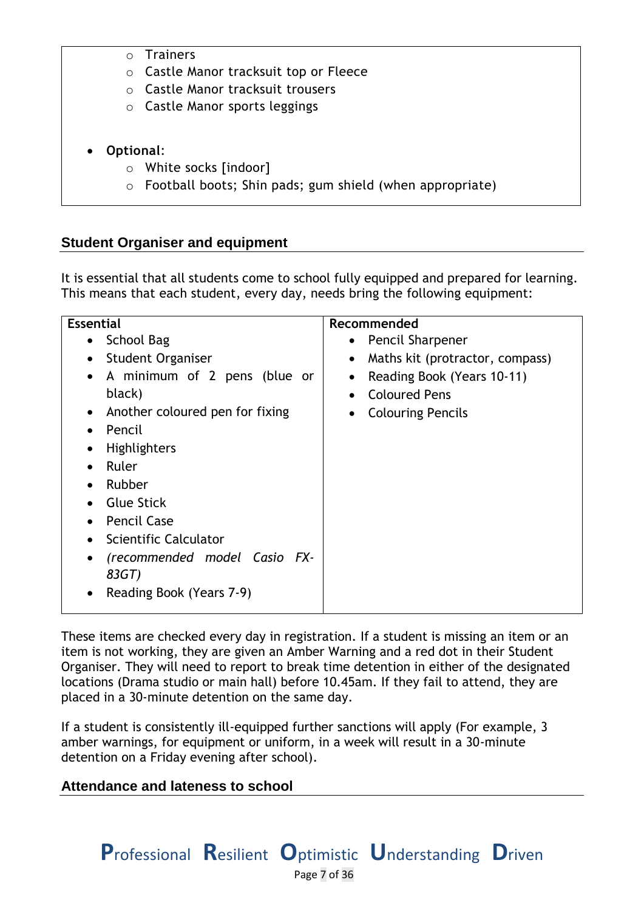- o Trainers
- o Castle Manor tracksuit top or Fleece
- o Castle Manor tracksuit trousers
- o Castle Manor sports leggings
- **Optional**:
	- o White socks [indoor]
	- o Football boots; Shin pads; gum shield (when appropriate)

## <span id="page-6-0"></span>**Student Organiser and equipment**

It is essential that all students come to school fully equipped and prepared for learning. This means that each student, every day, needs bring the following equipment:

| <b>Essential</b>                             | Recommended                                  |
|----------------------------------------------|----------------------------------------------|
| School Bag<br>$\bullet$                      | • Pencil Sharpener                           |
| Student Organiser                            | Maths kit (protractor, compass)<br>$\bullet$ |
| A minimum of 2 pens (blue or                 | Reading Book (Years 10-11)<br>٠              |
| black)                                       | <b>Coloured Pens</b><br>$\bullet$            |
| Another coloured pen for fixing<br>$\bullet$ | <b>Colouring Pencils</b><br>$\bullet$        |
| Pencil                                       |                                              |
| Highlighters                                 |                                              |
| Ruler                                        |                                              |
| Rubber                                       |                                              |
| <b>Glue Stick</b>                            |                                              |
| <b>Pencil Case</b>                           |                                              |
| Scientific Calculator                        |                                              |
| (recommended model Casio FX-                 |                                              |
| 83GT)                                        |                                              |
| Reading Book (Years 7-9)                     |                                              |

These items are checked every day in registration. If a student is missing an item or an item is not working, they are given an Amber Warning and a red dot in their Student Organiser. They will need to report to break time detention in either of the designated locations (Drama studio or main hall) before 10.45am. If they fail to attend, they are placed in a 30-minute detention on the same day.

If a student is consistently ill-equipped further sanctions will apply (For example, 3 amber warnings, for equipment or uniform, in a week will result in a 30-minute detention on a Friday evening after school).

## <span id="page-6-1"></span>**Attendance and lateness to school**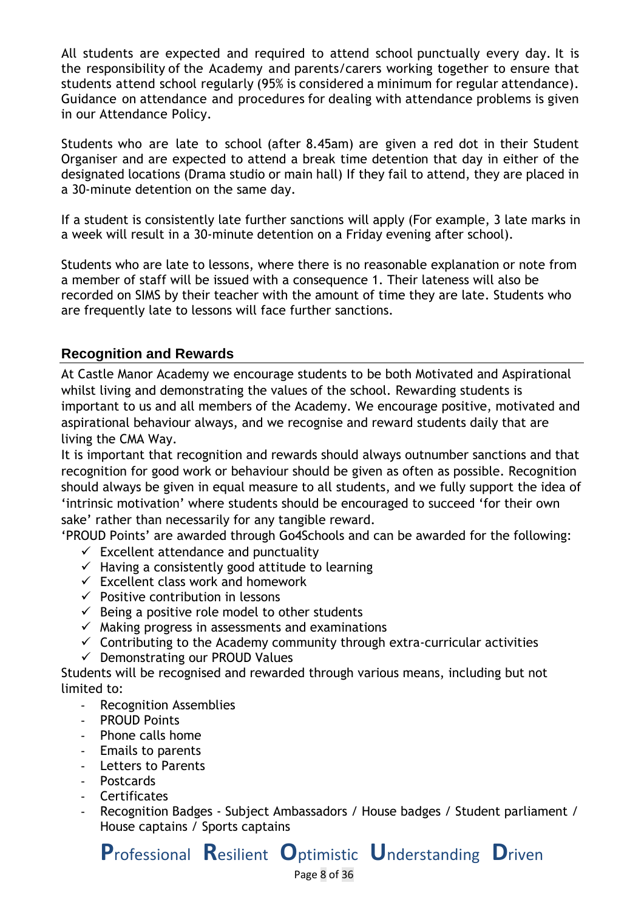All students are expected and required to attend school punctually every day. It is the responsibility of the Academy and parents/carers working together to ensure that students attend school regularly (95% is considered a minimum for regular attendance). Guidance on attendance and procedures for dealing with attendance problems is given in our Attendance Policy.

Students who are late to school (after 8.45am) are given a red dot in their Student Organiser and are expected to attend a break time detention that day in either of the designated locations (Drama studio or main hall) If they fail to attend, they are placed in a 30-minute detention on the same day.

If a student is consistently late further sanctions will apply (For example, 3 late marks in a week will result in a 30-minute detention on a Friday evening after school).

Students who are late to lessons, where there is no reasonable explanation or note from a member of staff will be issued with a consequence 1. Their lateness will also be recorded on SIMS by their teacher with the amount of time they are late. Students who are frequently late to lessons will face further sanctions.

## <span id="page-7-0"></span>**Recognition and Rewards**

At Castle Manor Academy we encourage students to be both Motivated and Aspirational whilst living and demonstrating the values of the school. Rewarding students is important to us and all members of the Academy. We encourage positive, motivated and aspirational behaviour always, and we recognise and reward students daily that are living the CMA Way.

It is important that recognition and rewards should always outnumber sanctions and that recognition for good work or behaviour should be given as often as possible. Recognition should always be given in equal measure to all students, and we fully support the idea of 'intrinsic motivation' where students should be encouraged to succeed 'for their own sake' rather than necessarily for any tangible reward.

'PROUD Points' are awarded through Go4Schools and can be awarded for the following:

- $\checkmark$  Excellent attendance and punctuality
- $\checkmark$  Having a consistently good attitude to learning
- $\checkmark$  Excellent class work and homework
- $\checkmark$  Positive contribution in lessons
- $\checkmark$  Being a positive role model to other students
- $\checkmark$  Making progress in assessments and examinations
- $\checkmark$  Contributing to the Academy community through extra-curricular activities
- ✓ Demonstrating our PROUD Values

Students will be recognised and rewarded through various means, including but not limited to:

- Recognition Assemblies
- PROUD Points
- Phone calls home
- Emails to parents
- Letters to Parents
- Postcards
- **Certificates**
- Recognition Badges Subject Ambassadors / House badges / Student parliament / House captains / Sports captains

**P**rofessional **R**esilient **O**ptimistic **U**nderstanding **D**riven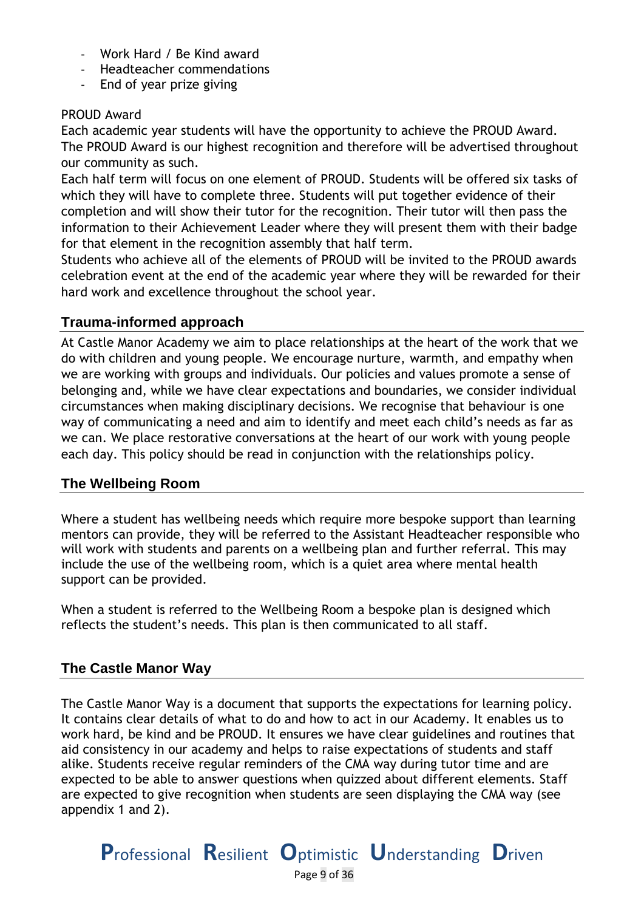- Work Hard / Be Kind award
- Headteacher commendations
- End of year prize giving

## PROUD Award

Each academic year students will have the opportunity to achieve the PROUD Award. The PROUD Award is our highest recognition and therefore will be advertised throughout our community as such.

Each half term will focus on one element of PROUD. Students will be offered six tasks of which they will have to complete three. Students will put together evidence of their completion and will show their tutor for the recognition. Their tutor will then pass the information to their Achievement Leader where they will present them with their badge for that element in the recognition assembly that half term.

Students who achieve all of the elements of PROUD will be invited to the PROUD awards celebration event at the end of the academic year where they will be rewarded for their hard work and excellence throughout the school year.

## <span id="page-8-0"></span>**Trauma-informed approach**

At Castle Manor Academy we aim to place relationships at the heart of the work that we do with children and young people. We encourage nurture, warmth, and empathy when we are working with groups and individuals. Our policies and values promote a sense of belonging and, while we have clear expectations and boundaries, we consider individual circumstances when making disciplinary decisions. We recognise that behaviour is one way of communicating a need and aim to identify and meet each child's needs as far as we can. We place restorative conversations at the heart of our work with young people each day. This policy should be read in conjunction with the relationships policy.

## <span id="page-8-1"></span>**The Wellbeing Room**

Where a student has wellbeing needs which require more bespoke support than learning mentors can provide, they will be referred to the Assistant Headteacher responsible who will work with students and parents on a wellbeing plan and further referral. This may include the use of the wellbeing room, which is a quiet area where mental health support can be provided.

When a student is referred to the Wellbeing Room a bespoke plan is designed which reflects the student's needs. This plan is then communicated to all staff.

## <span id="page-8-2"></span>**The Castle Manor Way**

The Castle Manor Way is a document that supports the expectations for learning policy. It contains clear details of what to do and how to act in our Academy. It enables us to work hard, be kind and be PROUD. It ensures we have clear guidelines and routines that aid consistency in our academy and helps to raise expectations of students and staff alike. Students receive regular reminders of the CMA way during tutor time and are expected to be able to answer questions when quizzed about different elements. Staff are expected to give recognition when students are seen displaying the CMA way (see appendix 1 and 2).

**P**rofessional **R**esilient **O**ptimistic **U**nderstanding **D**riven Page 9 of 36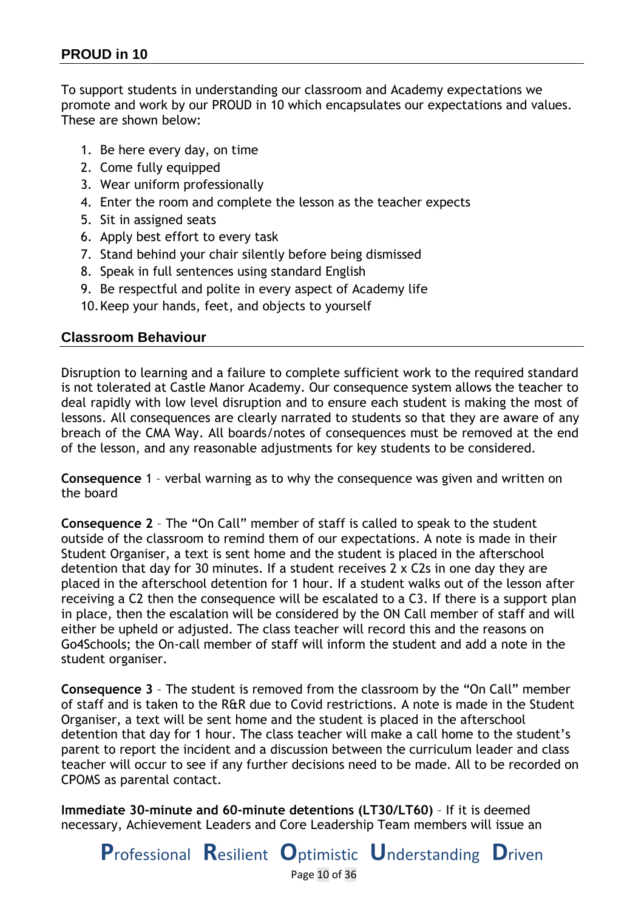## <span id="page-9-0"></span>**PROUD in 10**

To support students in understanding our classroom and Academy expectations we promote and work by our PROUD in 10 which encapsulates our expectations and values. These are shown below:

- 1. Be here every day, on time
- 2. Come fully equipped
- 3. Wear uniform professionally
- 4. Enter the room and complete the lesson as the teacher expects
- 5. Sit in assigned seats
- 6. Apply best effort to every task
- 7. Stand behind your chair silently before being dismissed
- 8. Speak in full sentences using standard English
- 9. Be respectful and polite in every aspect of Academy life
- 10.Keep your hands, feet, and objects to yourself

## <span id="page-9-1"></span>**Classroom Behaviour**

Disruption to learning and a failure to complete sufficient work to the required standard is not tolerated at Castle Manor Academy. Our consequence system allows the teacher to deal rapidly with low level disruption and to ensure each student is making the most of lessons. All consequences are clearly narrated to students so that they are aware of any breach of the CMA Way. All boards/notes of consequences must be removed at the end of the lesson, and any reasonable adjustments for key students to be considered.

**Consequence** 1 – verbal warning as to why the consequence was given and written on the board

**Consequence 2** – The "On Call" member of staff is called to speak to the student outside of the classroom to remind them of our expectations. A note is made in their Student Organiser, a text is sent home and the student is placed in the afterschool detention that day for 30 minutes. If a student receives 2 x C2s in one day they are placed in the afterschool detention for 1 hour. If a student walks out of the lesson after receiving a C2 then the consequence will be escalated to a C3. If there is a support plan in place, then the escalation will be considered by the ON Call member of staff and will either be upheld or adjusted. The class teacher will record this and the reasons on Go4Schools; the On-call member of staff will inform the student and add a note in the student organiser.

**Consequence 3** – The student is removed from the classroom by the "On Call" member of staff and is taken to the R&R due to Covid restrictions. A note is made in the Student Organiser, a text will be sent home and the student is placed in the afterschool detention that day for 1 hour. The class teacher will make a call home to the student's parent to report the incident and a discussion between the curriculum leader and class teacher will occur to see if any further decisions need to be made. All to be recorded on CPOMS as parental contact.

**Immediate 30-minute and 60-minute detentions (LT30/LT60)** – If it is deemed necessary, Achievement Leaders and Core Leadership Team members will issue an

**P**rofessional **R**esilient **O**ptimistic **U**nderstanding **D**riven Page 10 of 36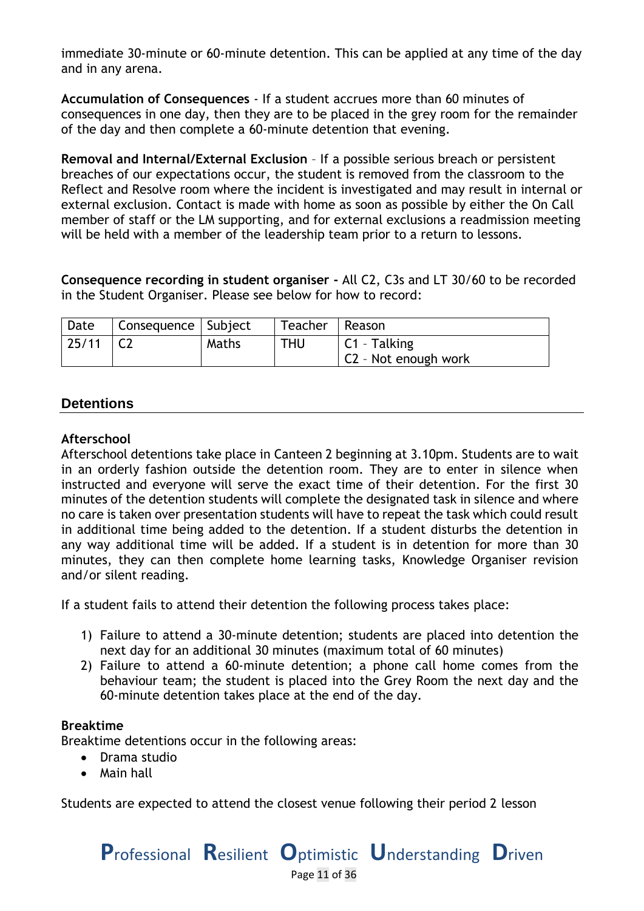immediate 30-minute or 60-minute detention. This can be applied at any time of the day and in any arena.

**Accumulation of Consequences** - If a student accrues more than 60 minutes of consequences in one day, then they are to be placed in the grey room for the remainder of the day and then complete a 60-minute detention that evening.

**Removal and Internal/External Exclusion** – If a possible serious breach or persistent breaches of our expectations occur, the student is removed from the classroom to the Reflect and Resolve room where the incident is investigated and may result in internal or external exclusion. Contact is made with home as soon as possible by either the On Call member of staff or the LM supporting, and for external exclusions a readmission meeting will be held with a member of the leadership team prior to a return to lessons.

**Consequence recording in student organiser -** All C2, C3s and LT 30/60 to be recorded in the Student Organiser. Please see below for how to record:

| Date  | Consequence   Subject |       | Teacher    | l Reason                             |
|-------|-----------------------|-------|------------|--------------------------------------|
| 25/11 |                       | Maths | <b>THU</b> | C1 - Talking<br>C2 - Not enough work |

## <span id="page-10-0"></span>**Detentions**

## **Afterschool**

Afterschool detentions take place in Canteen 2 beginning at 3.10pm. Students are to wait in an orderly fashion outside the detention room. They are to enter in silence when instructed and everyone will serve the exact time of their detention. For the first 30 minutes of the detention students will complete the designated task in silence and where no care is taken over presentation students will have to repeat the task which could result in additional time being added to the detention. If a student disturbs the detention in any way additional time will be added. If a student is in detention for more than 30 minutes, they can then complete home learning tasks, Knowledge Organiser revision and/or silent reading.

If a student fails to attend their detention the following process takes place:

- 1) Failure to attend a 30-minute detention; students are placed into detention the next day for an additional 30 minutes (maximum total of 60 minutes)
- 2) Failure to attend a 60-minute detention; a phone call home comes from the behaviour team; the student is placed into the Grey Room the next day and the 60-minute detention takes place at the end of the day.

## **Breaktime**

Breaktime detentions occur in the following areas:

- Drama studio
- Main hall

Students are expected to attend the closest venue following their period 2 lesson

**P**rofessional **R**esilient **O**ptimistic **U**nderstanding **D**riven Page 11 of 36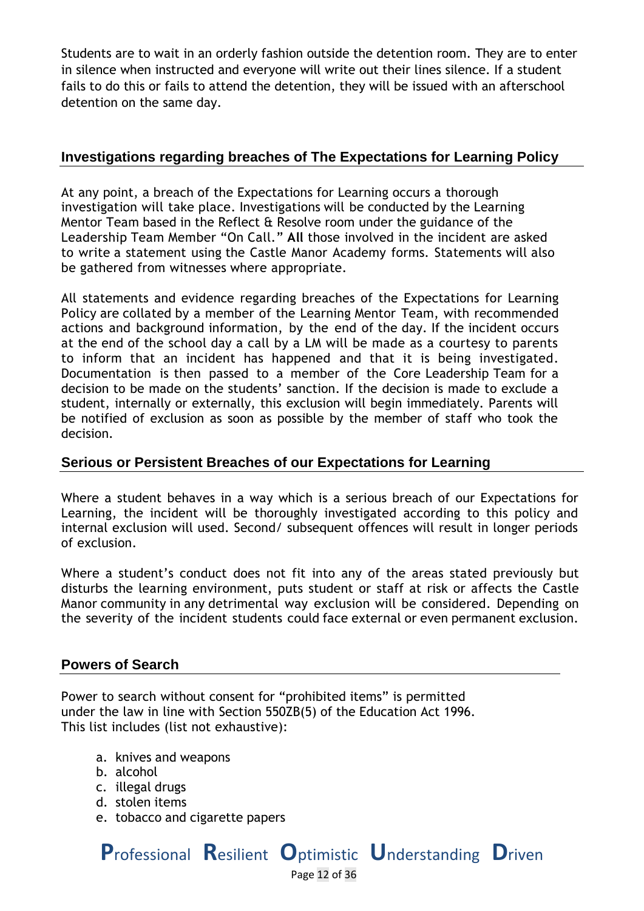Students are to wait in an orderly fashion outside the detention room. They are to enter in silence when instructed and everyone will write out their lines silence. If a student fails to do this or fails to attend the detention, they will be issued with an afterschool detention on the same day.

## <span id="page-11-0"></span>**Investigations regarding breaches of The Expectations for Learning Policy**

At any point, a breach of the Expectations for Learning occurs a thorough investigation will take place. Investigations will be conducted by the Learning Mentor Team based in the Reflect & Resolve room under the guidance of the Leadership Team Member "On Call." **All** those involved in the incident are asked to write a statement using the Castle Manor Academy forms. Statements will also be gathered from witnesses where appropriate.

All statements and evidence regarding breaches of the Expectations for Learning Policy are collated by a member of the Learning Mentor Team, with recommended actions and background information, by the end of the day. If the incident occurs at the end of the school day a call by a LM will be made as a courtesy to parents to inform that an incident has happened and that it is being investigated. Documentation is then passed to a member of the Core Leadership Team for a decision to be made on the students' sanction. If the decision is made to exclude a student, internally or externally, this exclusion will begin immediately. Parents will be notified of exclusion as soon as possible by the member of staff who took the decision.

## <span id="page-11-1"></span>**Serious or Persistent Breaches of our Expectations for Learning**

Where a student behaves in a way which is a serious breach of our Expectations for Learning, the incident will be thoroughly investigated according to this policy and internal exclusion will used. Second/ subsequent offences will result in longer periods of exclusion.

Where a student's conduct does not fit into any of the areas stated previously but disturbs the learning environment, puts student or staff at risk or affects the Castle Manor community in any detrimental way exclusion will be considered. Depending on the severity of the incident students could face external or even permanent exclusion.

## <span id="page-11-2"></span>**Powers of Search**

Power to search without consent for "prohibited items" is permitted under the law in line with Section 550ZB(5) of the Education Act 1996. This list includes (list not exhaustive):

- a. knives and weapons
- b. alcohol
- c. illegal drugs
- d. stolen items
- e. tobacco and cigarette papers

Page 12 of 36

**P**rofessional **R**esilient **O**ptimistic **U**nderstanding **D**riven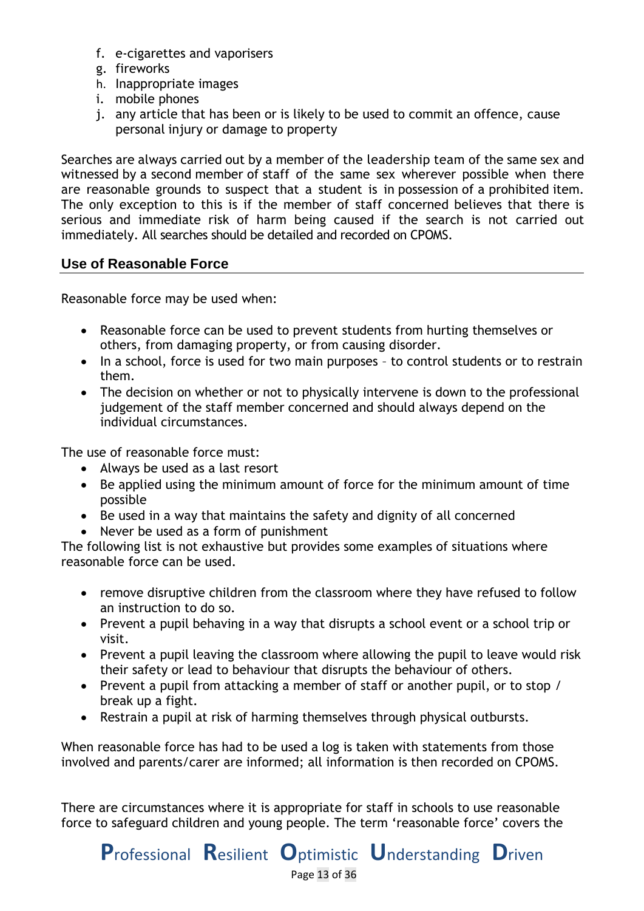- f. e-cigarettes and vaporisers
- g. fireworks
- h. Inappropriate images
- i. mobile phones
- j. any article that has been or is likely to be used to commit an offence, cause personal injury or damage to property

Searches are always carried out by a member of the leadership team of the same sex and witnessed by a second member of staff of the same sex wherever possible when there are reasonable grounds to suspect that a student is in possession of a prohibited item. The only exception to this is if the member of staff concerned believes that there is serious and immediate risk of harm being caused if the search is not carried out immediately. All searches should be detailed and recorded on CPOMS.

## <span id="page-12-0"></span>**Use of Reasonable Force**

Reasonable force may be used when:

- Reasonable force can be used to prevent students from hurting themselves or others, from damaging property, or from causing disorder.
- In a school, force is used for two main purposes to control students or to restrain them.
- The decision on whether or not to physically intervene is down to the professional judgement of the staff member concerned and should always depend on the individual circumstances.

The use of reasonable force must:

- Always be used as a last resort
- Be applied using the minimum amount of force for the minimum amount of time possible
- Be used in a way that maintains the safety and dignity of all concerned
- Never be used as a form of punishment

The following list is not exhaustive but provides some examples of situations where reasonable force can be used.

- remove disruptive children from the classroom where they have refused to follow an instruction to do so.
- Prevent a pupil behaving in a way that disrupts a school event or a school trip or visit.
- Prevent a pupil leaving the classroom where allowing the pupil to leave would risk their safety or lead to behaviour that disrupts the behaviour of others.
- Prevent a pupil from attacking a member of staff or another pupil, or to stop / break up a fight.
- Restrain a pupil at risk of harming themselves through physical outbursts.

When reasonable force has had to be used a log is taken with statements from those involved and parents/carer are informed; all information is then recorded on CPOMS.

There are circumstances where it is appropriate for staff in schools to use reasonable force to safeguard children and young people. The term 'reasonable force' covers the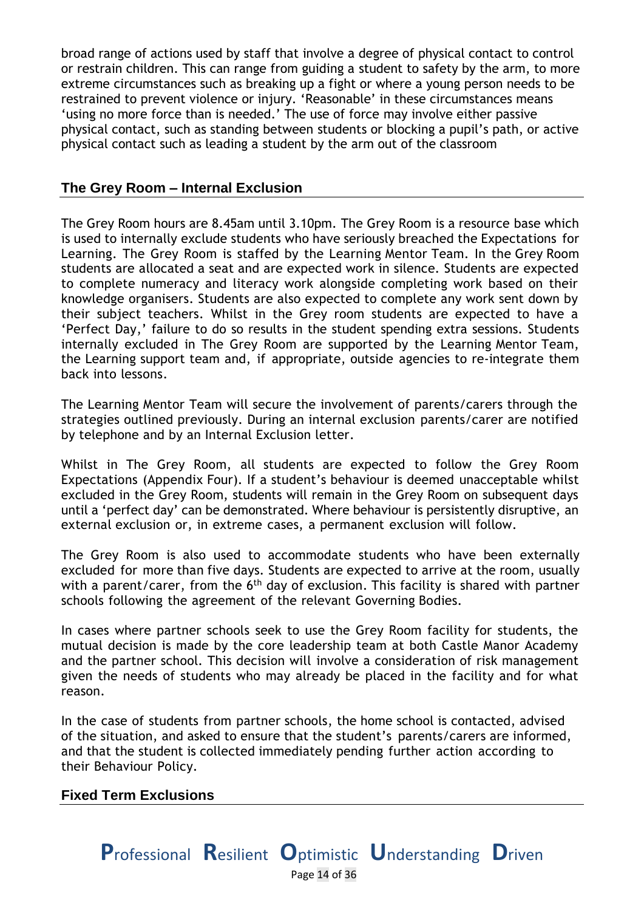broad range of actions used by staff that involve a degree of physical contact to control or restrain children. This can range from guiding a student to safety by the arm, to more extreme circumstances such as breaking up a fight or where a young person needs to be restrained to prevent violence or injury. 'Reasonable' in these circumstances means 'using no more force than is needed.' The use of force may involve either passive physical contact, such as standing between students or blocking a pupil's path, or active physical contact such as leading a student by the arm out of the classroom

## <span id="page-13-0"></span>**The Grey Room – Internal Exclusion**

The Grey Room hours are 8.45am until 3.10pm. The Grey Room is a resource base which is used to internally exclude students who have seriously breached the Expectations for Learning. The Grey Room is staffed by the Learning Mentor Team. In the Grey Room students are allocated a seat and are expected work in silence. Students are expected to complete numeracy and literacy work alongside completing work based on their knowledge organisers. Students are also expected to complete any work sent down by their subject teachers. Whilst in the Grey room students are expected to have a 'Perfect Day,' failure to do so results in the student spending extra sessions. Students internally excluded in The Grey Room are supported by the Learning Mentor Team, the Learning support team and, if appropriate, outside agencies to re-integrate them back into lessons.

The Learning Mentor Team will secure the involvement of parents/carers through the strategies outlined previously. During an internal exclusion parents/carer are notified by telephone and by an Internal Exclusion letter.

Whilst in The Grey Room, all students are expected to follow the Grey Room Expectations (Appendix Four). If a student's behaviour is deemed unacceptable whilst excluded in the Grey Room, students will remain in the Grey Room on subsequent days until a 'perfect day' can be demonstrated. Where behaviour is persistently disruptive, an external exclusion or, in extreme cases, a permanent exclusion will follow.

The Grey Room is also used to accommodate students who have been externally excluded for more than five days. Students are expected to arrive at the room, usually with a parent/carer, from the 6<sup>th</sup> day of exclusion. This facility is shared with partner schools following the agreement of the relevant Governing Bodies.

In cases where partner schools seek to use the Grey Room facility for students, the mutual decision is made by the core leadership team at both Castle Manor Academy and the partner school. This decision will involve a consideration of risk management given the needs of students who may already be placed in the facility and for what reason.

In the case of students from partner schools, the home school is contacted, advised of the situation, and asked to ensure that the student's parents/carers are informed, and that the student is collected immediately pending further action according to their Behaviour Policy.

## <span id="page-13-1"></span>**Fixed Term Exclusions**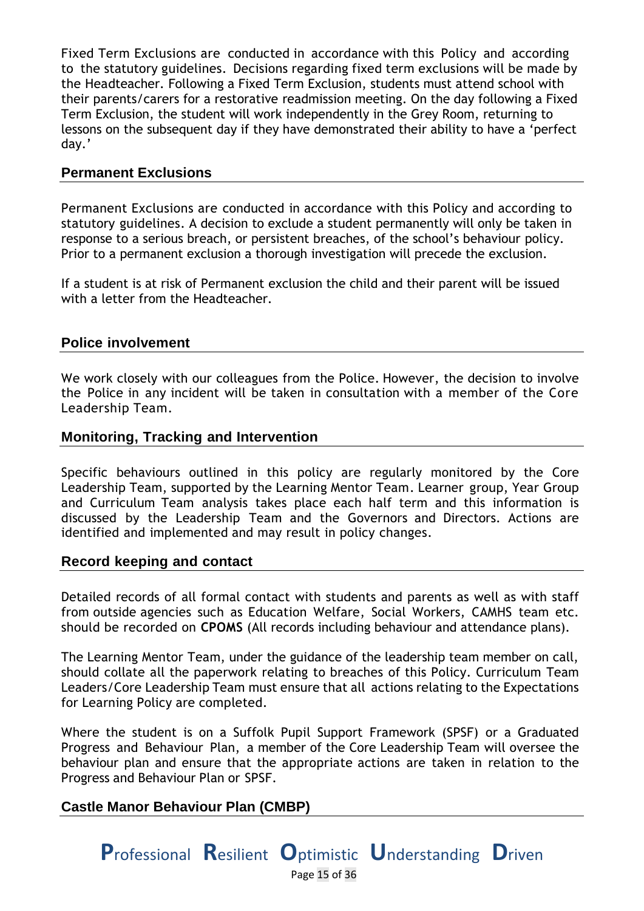Fixed Term Exclusions are conducted in accordance with this Policy and according to the statutory guidelines. Decisions regarding fixed term exclusions will be made by the Headteacher. Following a Fixed Term Exclusion, students must attend school with their parents/carers for a restorative readmission meeting. On the day following a Fixed Term Exclusion, the student will work independently in the Grey Room, returning to lessons on the subsequent day if they have demonstrated their ability to have a 'perfect day.'

## <span id="page-14-0"></span>**Permanent Exclusions**

Permanent Exclusions are conducted in accordance with this Policy and according to statutory guidelines. A decision to exclude a student permanently will only be taken in response to a serious breach, or persistent breaches, of the school's behaviour policy. Prior to a permanent exclusion a thorough investigation will precede the exclusion.

If a student is at risk of Permanent exclusion the child and their parent will be issued with a letter from the Headteacher.

## <span id="page-14-1"></span>**Police involvement**

We work closely with our colleagues from the Police. However, the decision to involve the Police in any incident will be taken in consultation with a member of the Core Leadership Team.

## <span id="page-14-2"></span>**Monitoring, Tracking and Intervention**

Specific behaviours outlined in this policy are regularly monitored by the Core Leadership Team, supported by the Learning Mentor Team. Learner group, Year Group and Curriculum Team analysis takes place each half term and this information is discussed by the Leadership Team and the Governors and Directors. Actions are identified and implemented and may result in policy changes.

## <span id="page-14-3"></span>**Record keeping and contact**

Detailed records of all formal contact with students and parents as well as with staff from outside agencies such as Education Welfare, Social Workers, CAMHS team etc. should be recorded on **CPOMS** (All records including behaviour and attendance plans).

The Learning Mentor Team, under the guidance of the leadership team member on call, should collate all the paperwork relating to breaches of this Policy. Curriculum Team Leaders/Core Leadership Team must ensure that all actions relating to the Expectations for Learning Policy are completed.

Where the student is on a Suffolk Pupil Support Framework (SPSF) or a Graduated Progress and Behaviour Plan, a member of the Core Leadership Team will oversee the behaviour plan and ensure that the appropriate actions are taken in relation to the Progress and Behaviour Plan or SPSF.

**P**rofessional **R**esilient **O**ptimistic **U**nderstanding **D**riven Page 15 of 36

## <span id="page-14-4"></span>**Castle Manor Behaviour Plan (CMBP)**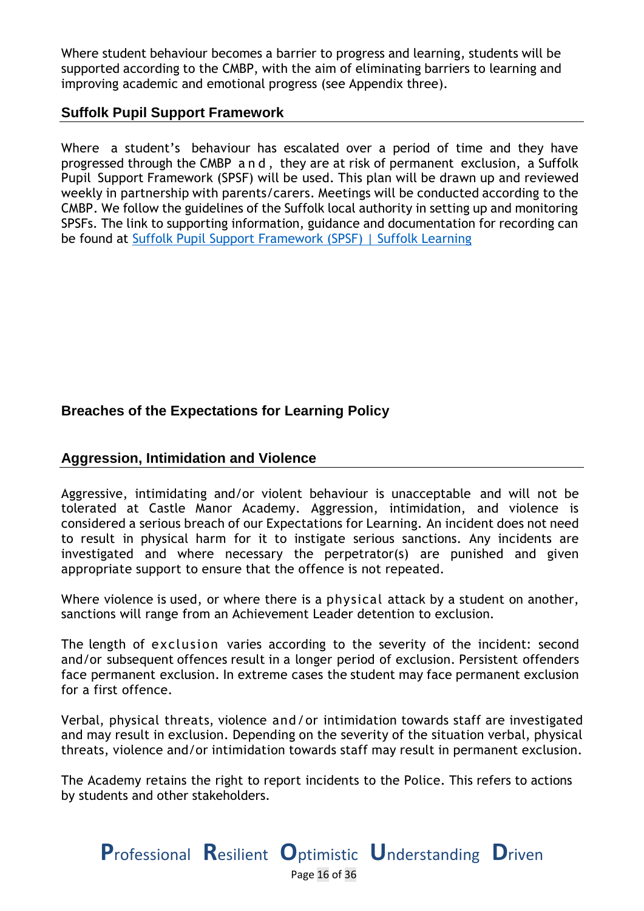Where student behaviour becomes a barrier to progress and learning, students will be supported according to the CMBP, with the aim of eliminating barriers to learning and improving academic and emotional progress (see Appendix three).

## <span id="page-15-0"></span>**Suffolk Pupil Support Framework**

Where a student's behaviour has escalated over a period of time and they have progressed through the CMBP a n d , they are at risk of permanent exclusion, a Suffolk Pupil Support Framework (SPSF) will be used. This plan will be drawn up and reviewed weekly in partnership with parents/carers. Meetings will be conducted according to the CMBP. We follow the guidelines of the Suffolk local authority in setting up and monitoring SPSFs. The link to supporting information, guidance and documentation for recording can be found at [Suffolk Pupil Support Framework \(SPSF\) | Suffolk Learning](https://www.suffolklearning.co.uk/leadership-staff-development/behaviour-attendance/pastoral-support-programme-psp-paperwork)

## <span id="page-15-1"></span>**Breaches of the Expectations for Learning Policy**

## <span id="page-15-2"></span>**Aggression, Intimidation and Violence**

Aggressive, intimidating and/or violent behaviour is unacceptable and will not be tolerated at Castle Manor Academy. Aggression, intimidation, and violence is considered a serious breach of our Expectations for Learning. An incident does not need to result in physical harm for it to instigate serious sanctions. Any incidents are investigated and where necessary the perpetrator(s) are punished and given appropriate support to ensure that the offence is not repeated.

Where violence is used, or where there is a physical attack by a student on another, sanctions will range from an Achievement Leader detention to exclusion.

The length of exclusion varies according to the severity of the incident: second and/or subsequent offences result in a longer period of exclusion. Persistent offenders face permanent exclusion. In extreme cases the student may face permanent exclusion for a first offence.

Verbal, physical threats, violence and/or intimidation towards staff are investigated and may result in exclusion. Depending on the severity of the situation verbal, physical threats, violence and/or intimidation towards staff may result in permanent exclusion.

The Academy retains the right to report incidents to the Police. This refers to actions by students and other stakeholders.

**P**rofessional **R**esilient **O**ptimistic **U**nderstanding **D**riven Page 16 of 36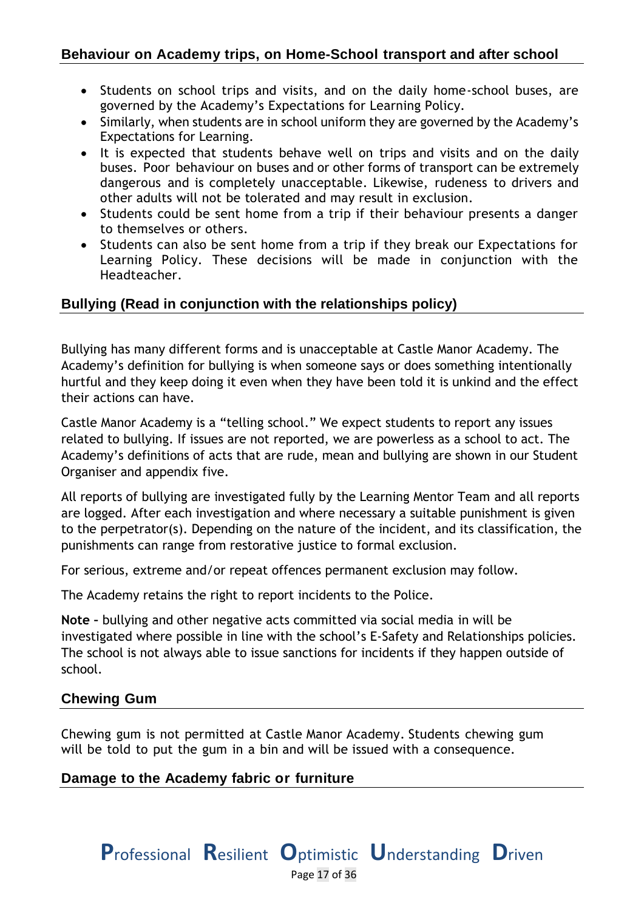## <span id="page-16-0"></span>**Behaviour on Academy trips, on Home-School transport and after school**

- Students on school trips and visits, and on the daily home-school buses, are governed by the Academy's Expectations for Learning Policy.
- Similarly, when students are in school uniform they are governed by the Academy's Expectations for Learning.
- It is expected that students behave well on trips and visits and on the daily buses. Poor behaviour on buses and or other forms of transport can be extremely dangerous and is completely unacceptable. Likewise, rudeness to drivers and other adults will not be tolerated and may result in exclusion.
- Students could be sent home from a trip if their behaviour presents a danger to themselves or others.
- Students can also be sent home from a trip if they break our Expectations for Learning Policy. These decisions will be made in conjunction with the Headteacher.

## <span id="page-16-1"></span>**Bullying (Read in conjunction with the relationships policy)**

Bullying has many different forms and is unacceptable at Castle Manor Academy. The Academy's definition for bullying is when someone says or does something intentionally hurtful and they keep doing it even when they have been told it is unkind and the effect their actions can have.

Castle Manor Academy is a "telling school." We expect students to report any issues related to bullying. If issues are not reported, we are powerless as a school to act. The Academy's definitions of acts that are rude, mean and bullying are shown in our Student Organiser and appendix five.

All reports of bullying are investigated fully by the Learning Mentor Team and all reports are logged. After each investigation and where necessary a suitable punishment is given to the perpetrator(s). Depending on the nature of the incident, and its classification, the punishments can range from restorative justice to formal exclusion.

For serious, extreme and/or repeat offences permanent exclusion may follow.

The Academy retains the right to report incidents to the Police.

**Note –** bullying and other negative acts committed via social media in will be investigated where possible in line with the school's E-Safety and Relationships policies. The school is not always able to issue sanctions for incidents if they happen outside of school.

## <span id="page-16-2"></span>**Chewing Gum**

Chewing gum is not permitted at Castle Manor Academy. Students chewing gum will be told to put the gum in a bin and will be issued with a consequence.

## <span id="page-16-3"></span>**Damage to the Academy fabric or furniture**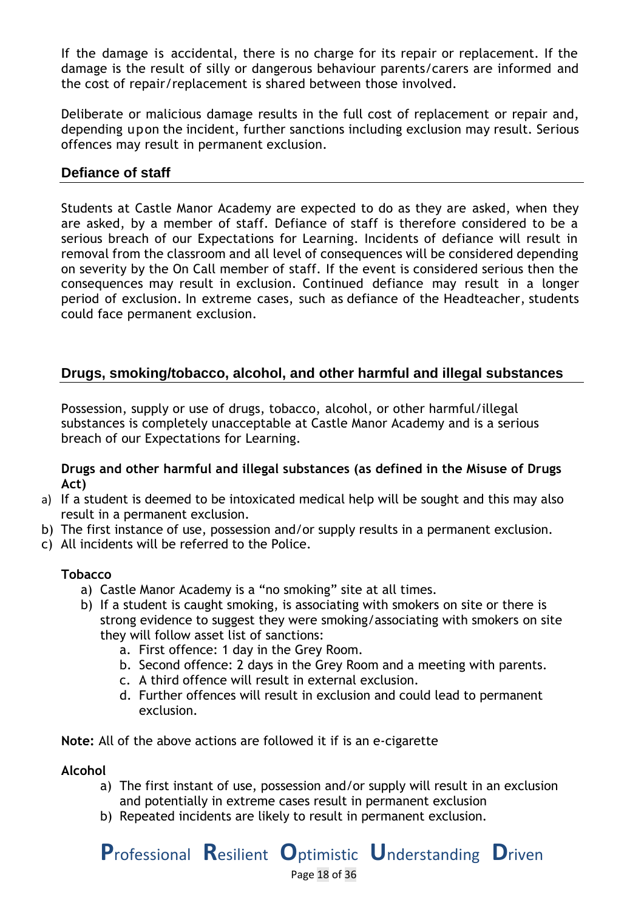If the damage is accidental, there is no charge for its repair or replacement. If the damage is the result of silly or dangerous behaviour parents/carers are informed and the cost of repair/replacement is shared between those involved.

Deliberate or malicious damage results in the full cost of replacement or repair and, depending upon the incident, further sanctions including exclusion may result. Serious offences may result in permanent exclusion.

## <span id="page-17-0"></span>**Defiance of staff**

Students at Castle Manor Academy are expected to do as they are asked, when they are asked, by a member of staff. Defiance of staff is therefore considered to be a serious breach of our Expectations for Learning. Incidents of defiance will result in removal from the classroom and all level of consequences will be considered depending on severity by the On Call member of staff. If the event is considered serious then the consequences may result in exclusion. Continued defiance may result in a longer period of exclusion. In extreme cases, such as defiance of the Headteacher, students could face permanent exclusion.

## <span id="page-17-1"></span>**Drugs, smoking/tobacco, alcohol, and other harmful and illegal substances**

Possession, supply or use of drugs, tobacco, alcohol, or other harmful/illegal substances is completely unacceptable at Castle Manor Academy and is a serious breach of our Expectations for Learning.

### **Drugs and other harmful and illegal substances (as defined in the Misuse of Drugs Act)**

- a) If a student is deemed to be intoxicated medical help will be sought and this may also result in a permanent exclusion.
- b) The first instance of use, possession and/or supply results in a permanent exclusion.
- c) All incidents will be referred to the Police.

## **Tobacco**

- a) Castle Manor Academy is a "no smoking" site at all times.
- b) If a student is caught smoking, is associating with smokers on site or there is strong evidence to suggest they were smoking/associating with smokers on site they will follow asset list of sanctions:
	- a. First offence: 1 day in the Grey Room.
	- b. Second offence: 2 days in the Grey Room and a meeting with parents.
	- c. A third offence will result in external exclusion.
	- d. Further offences will result in exclusion and could lead to permanent exclusion.

**Note:** All of the above actions are followed it if is an e-cigarette

## **Alcohol**

a) The first instant of use, possession and/or supply will result in an exclusion and potentially in extreme cases result in permanent exclusion

**P**rofessional **R**esilient **O**ptimistic **U**nderstanding **D**riven Page 18 of 36

b) Repeated incidents are likely to result in permanent exclusion.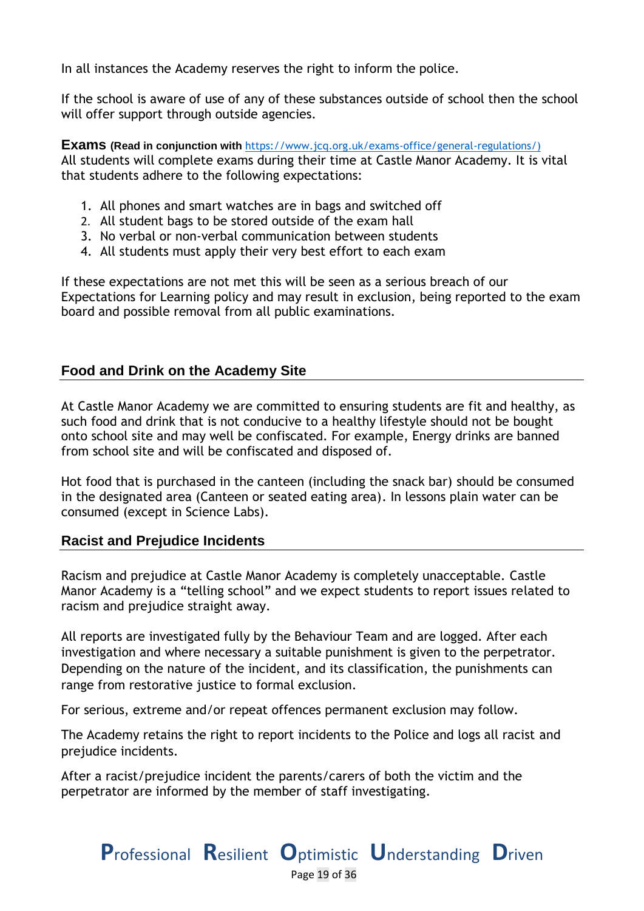In all instances the Academy reserves the right to inform the police.

If the school is aware of use of any of these substances outside of school then the school will offer support through outside agencies.

<span id="page-18-0"></span>**Exams (Read in conjunction with** [https://www.jcq.org.uk/exams-office/general-regulations/\)](https://www.jcq.org.uk/exams-office/general-regulations/)) All students will complete exams during their time at Castle Manor Academy. It is vital that students adhere to the following expectations:

- 1. All phones and smart watches are in bags and switched off
- 2. All student bags to be stored outside of the exam hall
- 3. No verbal or non-verbal communication between students
- 4. All students must apply their very best effort to each exam

If these expectations are not met this will be seen as a serious breach of our Expectations for Learning policy and may result in exclusion, being reported to the exam board and possible removal from all public examinations.

## <span id="page-18-1"></span>**Food and Drink on the Academy Site**

At Castle Manor Academy we are committed to ensuring students are fit and healthy, as such food and drink that is not conducive to a healthy lifestyle should not be bought onto school site and may well be confiscated. For example, Energy drinks are banned from school site and will be confiscated and disposed of.

Hot food that is purchased in the canteen (including the snack bar) should be consumed in the designated area (Canteen or seated eating area). In lessons plain water can be consumed (except in Science Labs).

## <span id="page-18-2"></span>**Racist and Prejudice Incidents**

Racism and prejudice at Castle Manor Academy is completely unacceptable. Castle Manor Academy is a "telling school" and we expect students to report issues related to racism and prejudice straight away.

All reports are investigated fully by the Behaviour Team and are logged. After each investigation and where necessary a suitable punishment is given to the perpetrator. Depending on the nature of the incident, and its classification, the punishments can range from restorative justice to formal exclusion.

For serious, extreme and/or repeat offences permanent exclusion may follow.

The Academy retains the right to report incidents to the Police and logs all racist and prejudice incidents.

After a racist/prejudice incident the parents/carers of both the victim and the perpetrator are informed by the member of staff investigating.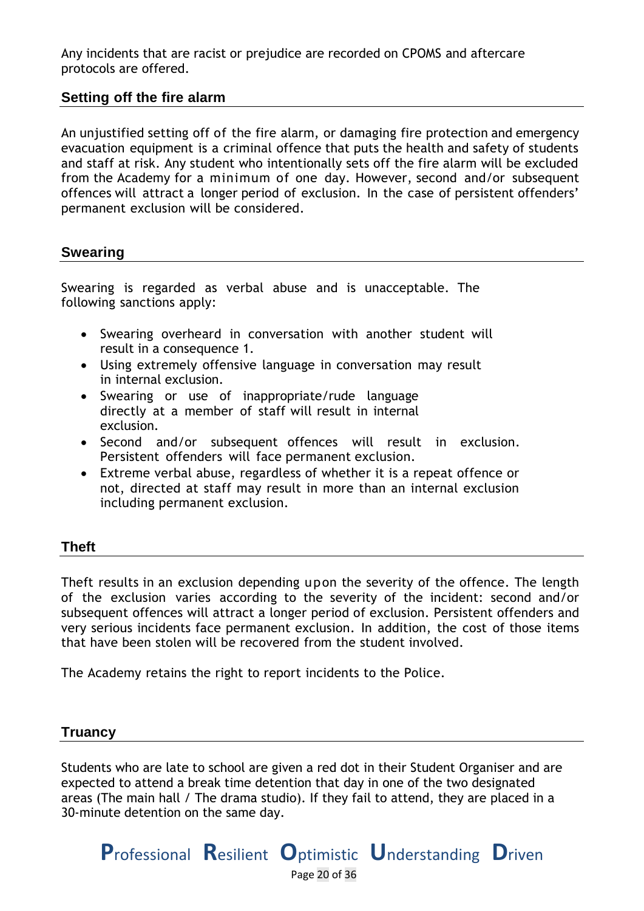Any incidents that are racist or prejudice are recorded on CPOMS and aftercare protocols are offered.

## <span id="page-19-0"></span>**Setting off the fire alarm**

An unjustified setting off of the fire alarm, or damaging fire protection and emergency evacuation equipment is a criminal offence that puts the health and safety of students and staff at risk. Any student who intentionally sets off the fire alarm will be excluded from the Academy for a minimum of one day. However, second and/or subsequent offences will attract a longer period of exclusion. In the case of persistent offenders' permanent exclusion will be considered.

## <span id="page-19-1"></span>**Swearing**

Swearing is regarded as verbal abuse and is unacceptable. The following sanctions apply:

- Swearing overheard in conversation with another student will result in a consequence 1.
- Using extremely offensive language in conversation may result in internal exclusion.
- Swearing or use of inappropriate/rude language directly at a member of staff will result in internal exclusion.
- Second and/or subsequent offences will result in exclusion. Persistent offenders will face permanent exclusion.
- Extreme verbal abuse, regardless of whether it is a repeat offence or not, directed at staff may result in more than an internal exclusion including permanent exclusion.

## <span id="page-19-2"></span>**Theft**

Theft results in an exclusion depending upon the severity of the offence. The length of the exclusion varies according to the severity of the incident: second and/or subsequent offences will attract a longer period of exclusion. Persistent offenders and very serious incidents face permanent exclusion. In addition, the cost of those items that have been stolen will be recovered from the student involved.

The Academy retains the right to report incidents to the Police.

## <span id="page-19-3"></span>**Truancy**

Students who are late to school are given a red dot in their Student Organiser and are expected to attend a break time detention that day in one of the two designated areas (The main hall / The drama studio). If they fail to attend, they are placed in a 30-minute detention on the same day.

**P**rofessional **R**esilient **O**ptimistic **U**nderstanding **D**riven Page 20 of 36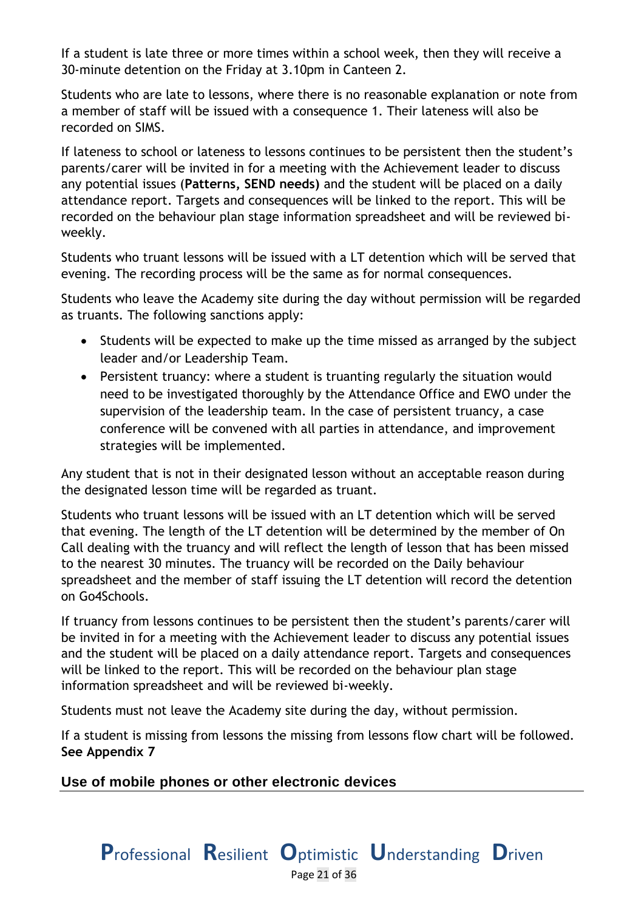If a student is late three or more times within a school week, then they will receive a 30-minute detention on the Friday at 3.10pm in Canteen 2.

Students who are late to lessons, where there is no reasonable explanation or note from a member of staff will be issued with a consequence 1. Their lateness will also be recorded on SIMS.

If lateness to school or lateness to lessons continues to be persistent then the student's parents/carer will be invited in for a meeting with the Achievement leader to discuss any potential issues (**Patterns, SEND needs)** and the student will be placed on a daily attendance report. Targets and consequences will be linked to the report. This will be recorded on the behaviour plan stage information spreadsheet and will be reviewed biweekly.

Students who truant lessons will be issued with a LT detention which will be served that evening. The recording process will be the same as for normal consequences.

Students who leave the Academy site during the day without permission will be regarded as truants. The following sanctions apply:

- Students will be expected to make up the time missed as arranged by the subject leader and/or Leadership Team.
- Persistent truancy: where a student is truanting regularly the situation would need to be investigated thoroughly by the Attendance Office and EWO under the supervision of the leadership team. In the case of persistent truancy, a case conference will be convened with all parties in attendance, and improvement strategies will be implemented.

Any student that is not in their designated lesson without an acceptable reason during the designated lesson time will be regarded as truant.

Students who truant lessons will be issued with an LT detention which will be served that evening. The length of the LT detention will be determined by the member of On Call dealing with the truancy and will reflect the length of lesson that has been missed to the nearest 30 minutes. The truancy will be recorded on the Daily behaviour spreadsheet and the member of staff issuing the LT detention will record the detention on Go4Schools.

If truancy from lessons continues to be persistent then the student's parents/carer will be invited in for a meeting with the Achievement leader to discuss any potential issues and the student will be placed on a daily attendance report. Targets and consequences will be linked to the report. This will be recorded on the behaviour plan stage information spreadsheet and will be reviewed bi-weekly.

Students must not leave the Academy site during the day, without permission.

If a student is missing from lessons the missing from lessons flow chart will be followed. **See Appendix 7**

## <span id="page-20-0"></span>**Use of mobile phones or other electronic devices**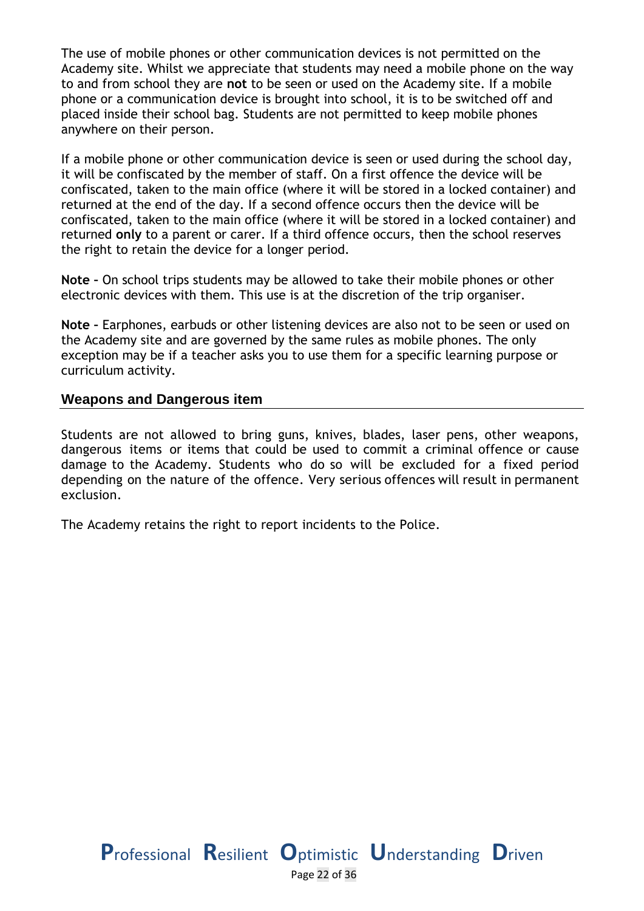The use of mobile phones or other communication devices is not permitted on the Academy site. Whilst we appreciate that students may need a mobile phone on the way to and from school they are **not** to be seen or used on the Academy site. If a mobile phone or a communication device is brought into school, it is to be switched off and placed inside their school bag. Students are not permitted to keep mobile phones anywhere on their person.

If a mobile phone or other communication device is seen or used during the school day, it will be confiscated by the member of staff. On a first offence the device will be confiscated, taken to the main office (where it will be stored in a locked container) and returned at the end of the day. If a second offence occurs then the device will be confiscated, taken to the main office (where it will be stored in a locked container) and returned **only** to a parent or carer. If a third offence occurs, then the school reserves the right to retain the device for a longer period.

**Note –** On school trips students may be allowed to take their mobile phones or other electronic devices with them. This use is at the discretion of the trip organiser.

**Note –** Earphones, earbuds or other listening devices are also not to be seen or used on the Academy site and are governed by the same rules as mobile phones. The only exception may be if a teacher asks you to use them for a specific learning purpose or curriculum activity.

## <span id="page-21-0"></span>**Weapons and Dangerous item**

Students are not allowed to bring guns, knives, blades, laser pens, other weapons, dangerous items or items that could be used to commit a criminal offence or cause damage to the Academy. Students who do so will be excluded for a fixed period depending on the nature of the offence. Very serious offences will result in permanent exclusion.

The Academy retains the right to report incidents to the Police.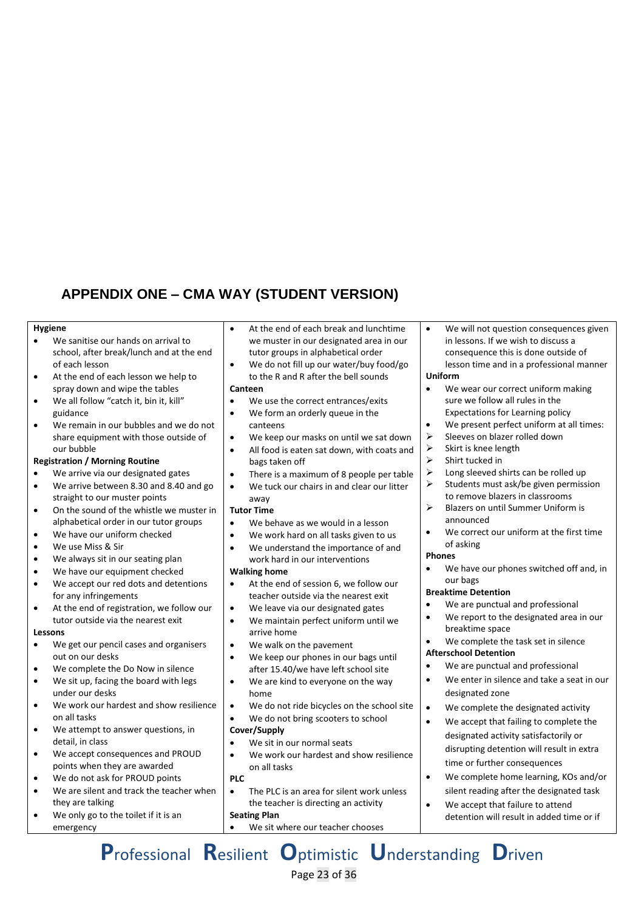## <span id="page-22-0"></span>**APPENDIX ONE – CMA WAY (STUDENT VERSION)**

#### **Hygiene**

- We sanitise our hands on arrival to school, after break/lunch and at the end of each lesson
- At the end of each lesson we help to spray down and wipe the tables
- We all follow "catch it, bin it, kill" guidance
- We remain in our bubbles and we do not share equipment with those outside of our bubble

#### **Registration / Morning Routine**

- We arrive via our designated gates
- We arrive between 8.30 and 8.40 and go straight to our muster points
- On the sound of the whistle we muster in alphabetical order in our tutor groups
- We have our uniform checked
- We use Miss & Sir
- We always sit in our seating plan
- We have our equipment checked
- We accept our red dots and detentions for any infringements
- At the end of registration, we follow our tutor outside via the nearest exit

#### **Lessons**

- We get our pencil cases and organisers out on our desks
- We complete the Do Now in silence
- We sit up, facing the board with legs under our desks
- We work our hardest and show resilience on all tasks
- We attempt to answer questions, in detail, in class
- We accept consequences and PROUD points when they are awarded
- We do not ask for PROUD points
- We are silent and track the teacher when they are talking
- We only go to the toilet if it is an emergency
- At the end of each break and lunchtime we muster in our designated area in our tutor groups in alphabetical order
- We do not fill up our water/buy food/go to the R and R after the bell sounds **Canteen**

#### We use the correct entrances/exits

- We form an orderly queue in the canteens
- We keep our masks on until we sat down
- All food is eaten sat down, with coats and
- bags taken off
- There is a maximum of 8 people per table We tuck our chairs in and clear our litter
- away

#### **Tutor Time**

- We behave as we would in a lesson
- We work hard on all tasks given to us
- We understand the importance of and work hard in our interventions

#### **Walking home**

- At the end of session 6, we follow our teacher outside via the nearest exit
- We leave via our designated gates
- We maintain perfect uniform until we arrive home
- We walk on the pavement
- We keep our phones in our bags until after 15.40/we have left school site
- We are kind to everyone on the way home
- We do not ride bicycles on the school site
- We do not bring scooters to school

#### **Cover/Supply**

- We sit in our normal seats
- We work our hardest and show resilience on all tasks

#### **PLC**

- The PLC is an area for silent work unless the teacher is directing an activity **Seating Plan**
- We sit where our teacher chooses

We will not question consequences given in lessons. If we wish to discuss a consequence this is done outside of lesson time and in a professional manner

#### **Uniform**

- We wear our correct uniform making sure we follow all rules in the Expectations for Learning policy
- We present perfect uniform at all times:
- Sleeves on blazer rolled down
- $\triangleright$  Skirt is knee length
- ➢ Shirt tucked in
- $\triangleright$  Long sleeved shirts can be rolled up
- $\triangleright$  Students must ask/be given permission to remove blazers in classrooms
- ➢ Blazers on until Summer Uniform is announced
- We correct our uniform at the first time of asking

#### **Phones**

We have our phones switched off and, in our bags

#### **Breaktime Detention**

- We are punctual and professional
- We report to the designated area in our breaktime space
- We complete the task set in silence **Afterschool Detention**
- We are punctual and professional
- We enter in silence and take a seat in our designated zone
- We complete the designated activity
- We accept that failing to complete the designated activity satisfactorily or disrupting detention will result in extra time or further consequences
- We complete home learning, KOs and/or silent reading after the designated task
- We accept that failure to attend detention will result in added time or if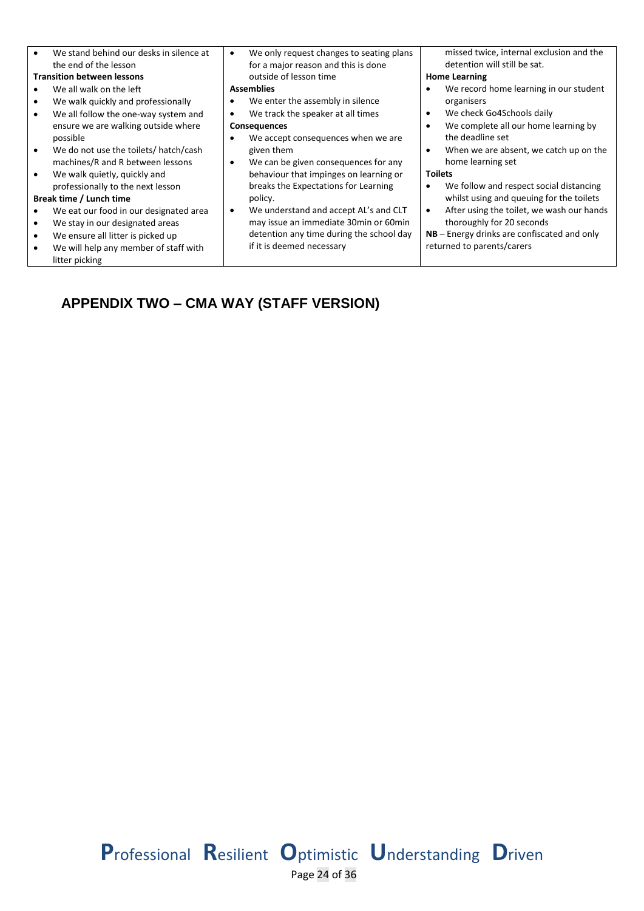| $\bullet$ | We stand behind our desks in silence at<br>the end of the lesson          | $\bullet$ | We only request changes to seating plans<br>for a major reason and this is done |                             | missed twice, internal exclusion and the<br>detention will still be sat. |
|-----------|---------------------------------------------------------------------------|-----------|---------------------------------------------------------------------------------|-----------------------------|--------------------------------------------------------------------------|
|           | <b>Transition between lessons</b>                                         |           | outside of lesson time                                                          |                             | <b>Home Learning</b>                                                     |
| $\bullet$ | We all walk on the left                                                   |           | <b>Assemblies</b>                                                               |                             | We record home learning in our student                                   |
| $\bullet$ | We walk quickly and professionally                                        |           | We enter the assembly in silence                                                |                             | organisers                                                               |
| $\bullet$ | We all follow the one-way system and                                      | $\bullet$ | We track the speaker at all times                                               | ٠                           | We check Go4Schools daily                                                |
|           | ensure we are walking outside where<br>possible                           |           | <b>Consequences</b><br>We accept consequences when we are                       | $\bullet$                   | We complete all our home learning by<br>the deadline set                 |
| $\bullet$ | We do not use the toilets/ hatch/cash<br>machines/R and R between lessons | $\bullet$ | given them<br>We can be given consequences for any                              | $\bullet$                   | When we are absent, we catch up on the<br>home learning set              |
| $\bullet$ | We walk quietly, quickly and<br>professionally to the next lesson         |           | behaviour that impinges on learning or<br>breaks the Expectations for Learning  | <b>Toilets</b><br>$\bullet$ | We follow and respect social distancing                                  |
|           | Break time / Lunch time                                                   |           | policy.                                                                         |                             | whilst using and queuing for the toilets                                 |
| $\bullet$ | We eat our food in our designated area                                    | $\bullet$ | We understand and accept AL's and CLT                                           | $\bullet$                   | After using the toilet, we wash our hands                                |
| $\bullet$ | We stay in our designated areas                                           |           | may issue an immediate 30min or 60min                                           |                             | thoroughly for 20 seconds                                                |
| $\bullet$ | We ensure all litter is picked up                                         |           | detention any time during the school day                                        |                             | $NB$ – Energy drinks are confiscated and only                            |
| $\bullet$ | We will help any member of staff with<br>litter picking                   |           | if it is deemed necessary                                                       |                             | returned to parents/carers                                               |

## <span id="page-23-0"></span>**APPENDIX TWO – CMA WAY (STAFF VERSION)**

**P**rofessional **R**esilient **O**ptimistic **U**nderstanding **D**riven Page 24 of 36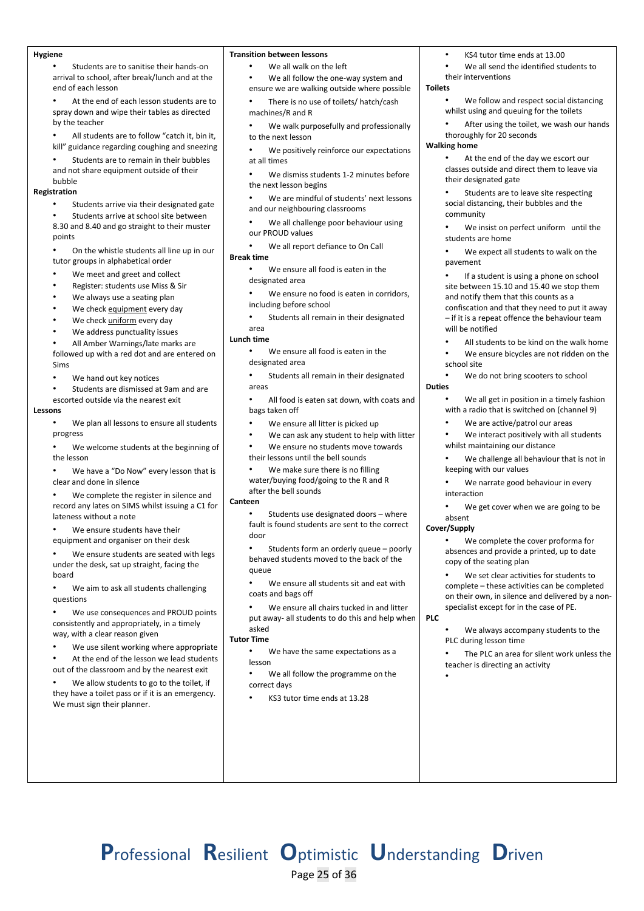#### **Hygiene**

• Students are to sanitise their hands-on arrival to school, after break/lunch and at the end of each lesson

• At the end of each lesson students are to spray down and wipe their tables as directed by the teacher

- All students are to follow "catch it, bin it, kill" guidance regarding coughing and sneezing
- Students are to remain in their bubbles and not share equipment outside of their bubble

#### **Registration**

- Students arrive via their designated gate
- Students arrive at school site between 8.30 and 8.40 and go straight to their muster points

• On the whistle students all line up in our tutor groups in alphabetical order

- We meet and greet and collect
- Register: students use Miss & Sir
- We always use a seating plan
- We check equipment every day
- We check uniform every day
- We address punctuality issues

• All Amber Warnings/late marks are followed up with a red dot and are entered on Sims

- We hand out key notices
- Students are dismissed at 9am and are escorted outside via the nearest exit

#### **Lessons**

We plan all lessons to ensure all students progress

We welcome students at the beginning of the lesson

We have a "Do Now" every lesson that is clear and done in silence

• We complete the register in silence and record any lates on SIMS whilst issuing a C1 for lateness without a note

- We ensure students have their
- equipment and organiser on their desk

We ensure students are seated with legs under the desk, sat up straight, facing the board

• We aim to ask all students challenging questions

We use consequences and PROUD points consistently and appropriately, in a timely way, with a clear reason given

We use silent working where appropriate

At the end of the lesson we lead students out of the classroom and by the nearest exit

• We allow students to go to the toilet, if they have a toilet pass or if it is an emergency. We must sign their planner.

#### **Transition between lessons**

- We all walk on the left
- We all follow the one-way system and ensure we are walking outside where possible
- There is no use of toilets/ hatch/cash
- machines/R and R
- We walk purposefully and professionally to the next lesson
- We positively reinforce our expectations at all times
- We dismiss students 1-2 minutes before the next lesson begins
- We are mindful of students' next lessons and our neighbouring classrooms
- We all challenge poor behaviour using our PROUD values
- We all report defiance to On Call

#### **Break time**

- We ensure all food is eaten in the designated area
- We ensure no food is eaten in corridors, including before school
- Students all remain in their designated

#### area **Lunch time**

- We ensure all food is eaten in the designated area
- Students all remain in their designated areas
- All food is eaten sat down, with coats and bags taken off
- We ensure all litter is picked up
- We can ask any student to help with litter<br>• We ensure no students move towards
- We ensure no students move towards
- their lessons until the bell sounds
- We make sure there is no filling water/buying food/going to the R and R after the bell sounds

#### **Canteen**

- Students use designated doors where fault is found students are sent to the correct door
- Students form an orderly queue poorly behaved students moved to the back of the queue
- We ensure all students sit and eat with coats and bags off
- We ensure all chairs tucked in and litter put away- all students to do this and help when asked

#### **Tutor Time**

- We have the same expectations as a lesson
- We all follow the programme on the correct days
- KS3 tutor time ends at 13.28
- KS4 tutor time ends at 13.00
- We all send the identified students to their interventions

#### **Toilets**

- We follow and respect social distancing whilst using and queuing for the toilets
- After using the toilet, we wash our hands thoroughly for 20 seconds

#### **Walking home**

- At the end of the day we escort our classes outside and direct them to leave via their designated gate
- Students are to leave site respecting social distancing, their bubbles and the community
- We insist on perfect uniform until the students are home
- We expect all students to walk on the pavement
- If a student is using a phone on school site between 15.10 and 15.40 we stop them and notify them that this counts as a confiscation and that they need to put it away – if it is a repeat offence the behaviour team will be notified
- All students to be kind on the walk home
- We ensure bicycles are not ridden on the school site
- We do not bring scooters to school

#### **Duties**

- We all get in position in a timely fashion with a radio that is switched on (channel 9)
- We are active/patrol our areas
- We interact positively with all students whilst maintaining our distance
- We challenge all behaviour that is not in keeping with our values
- We narrate good behaviour in every interaction
- We get cover when we are going to be absent

#### **Cover/Supply**

- We complete the cover proforma for absences and provide a printed, up to date copy of the seating plan
- We set clear activities for students to complete – these activities can be completed on their own, in silence and delivered by a nonspecialist except for in the case of PE.

#### **PLC**

- We always accompany students to the PLC during lesson time
- The PLC an area for silent work unless the teacher is directing an activity
- •

**P**rofessional **R**esilient **O**ptimistic **U**nderstanding **D**riven

Page 25 of 36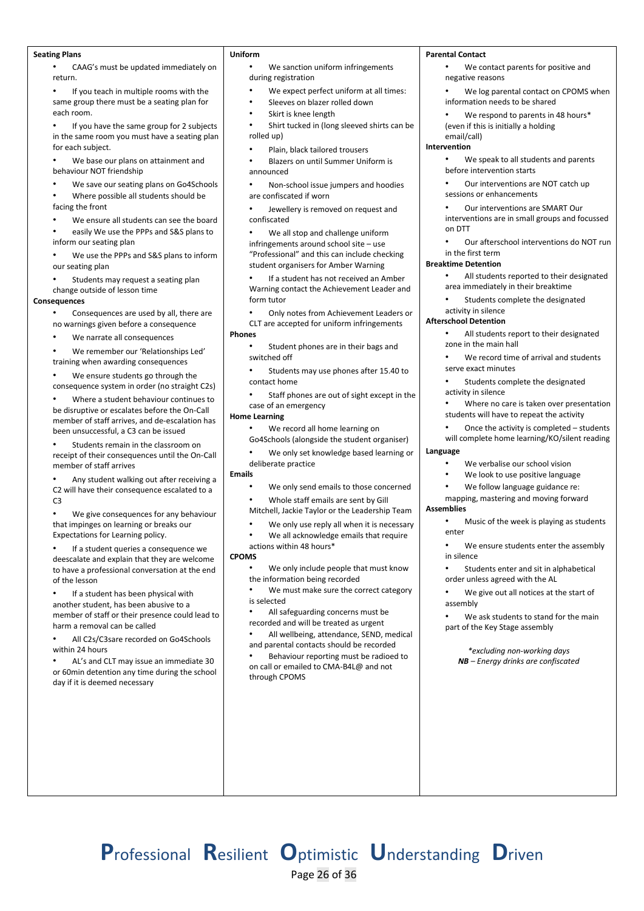#### **Seating Plans**

• CAAG's must be updated immediately on return.

If you teach in multiple rooms with the same group there must be a seating plan for each room.

If you have the same group for 2 subjects in the same room you must have a seating plan for each subject.

We base our plans on attainment and behaviour NOT friendship

- We save our seating plans on Go4Schools • Where possible all students should be facing the front
- We ensure all students can see the board
- easily We use the PPPs and S&S plans to inform our seating plan

• We use the PPPs and S&S plans to inform our seating plan

Students may request a seating plan change outside of lesson time

#### **Consequences**

• Consequences are used by all, there are no warnings given before a consequence

• We narrate all consequences

• We remember our 'Relationships Led' training when awarding consequences

We ensure students go through the consequence system in order (no straight C2s)

Where a student behaviour continues to be disruptive or escalates before the On-Call member of staff arrives, and de-escalation has been unsuccessful, a C3 can be issued

• Students remain in the classroom on receipt of their consequences until the On-Call member of staff arrives

Any student walking out after receiving a C2 will have their consequence escalated to a C3

We give consequences for any behaviour that impinges on learning or breaks our Expectations for Learning policy.

If a student queries a consequence we deescalate and explain that they are welcome to have a professional conversation at the end of the lesson

If a student has been physical with another student, has been abusive to a member of staff or their presence could lead to harm a removal can be called

• All C2s/C3sare recorded on Go4Schools within 24 hours

• AL's and CLT may issue an immediate 30 or 60min detention any time during the school day if it is deemed necessary

#### **Uniform**

- We sanction uniform infringements during registration
- We expect perfect uniform at all times:
- Sleeves on blazer rolled down
- Skirt is knee length

• Shirt tucked in (long sleeved shirts can be rolled up)

- Plain, black tailored trousers
- Blazers on until Summer Uniform is announced
- Non-school issue jumpers and hoodies are confiscated if worn
- Jewellery is removed on request and confiscated

We all stop and challenge uniform infringements around school site – use "Professional" and this can include checking student organisers for Amber Warning

If a student has not received an Amber Warning contact the Achievement Leader and form tutor

• Only notes from Achievement Leaders or

#### CLT are accepted for uniform infringements **Phones**

- Student phones are in their bags and switched off
- Students may use phones after 15.40 to contact home
- Staff phones are out of sight except in the case of an emergency

#### **Home Learning**

We record all home learning on Go4Schools (alongside the student organiser)

• We only set knowledge based learning or deliberate practice

#### **Emails**

- We only send emails to those concerned
- Whole staff emails are sent by Gill
- Mitchell, Jackie Taylor or the Leadership Team
- We only use reply all when it is necessary
- We all acknowledge emails that require actions within 48 hours\*

#### **CPOMS**

- We only include people that must know the information being recorded
- We must make sure the correct category is selected
- All safeguarding concerns must be recorded and will be treated as urgent
- All wellbeing, attendance, SEND, medical and parental contacts should be recorded

• Behaviour reporting must be radioed to on call or emailed to CMA-B4L@ and not through CPOMS

#### **Parental Contact**

- We contact parents for positive and negative reasons
- We log parental contact on CPOMS when information needs to be shared
- We respond to parents in 48 hours\* (even if this is initially a holding

#### email/call)

#### **Intervention**

- We speak to all students and parents before intervention starts
- Our interventions are NOT catch up sessions or enhancements

• Our interventions are SMART Our interventions are in small groups and focussed on DTT

• Our afterschool interventions do NOT run in the first term

#### **Breaktime Detention**

- All students reported to their designated area immediately in their breaktime
- Students complete the designated activity in silence

#### **Afterschool Detention**

- All students report to their designated zone in the main hall
- We record time of arrival and students serve exact minutes
- Students complete the designated activity in silence
- Where no care is taken over presentation students will have to repeat the activity
- Once the activity is completed students
- will complete home learning/KO/silent reading

#### **Language**

- We verbalise our school vision
- We look to use positive language
- We follow language guidance re:

mapping, mastering and moving forward **Assemblies** 

- Music of the week is playing as students enter
- We ensure students enter the assembly in silence
- Students enter and sit in alphabetical order unless agreed with the AL
	- We give out all notices at the start of assembly
	- We ask students to stand for the main part of the Key Stage assembly

*\*excluding non-working days NB – Energy drinks are confiscated*

**P**rofessional **R**esilient **O**ptimistic **U**nderstanding **D**riven

Page 26 of 36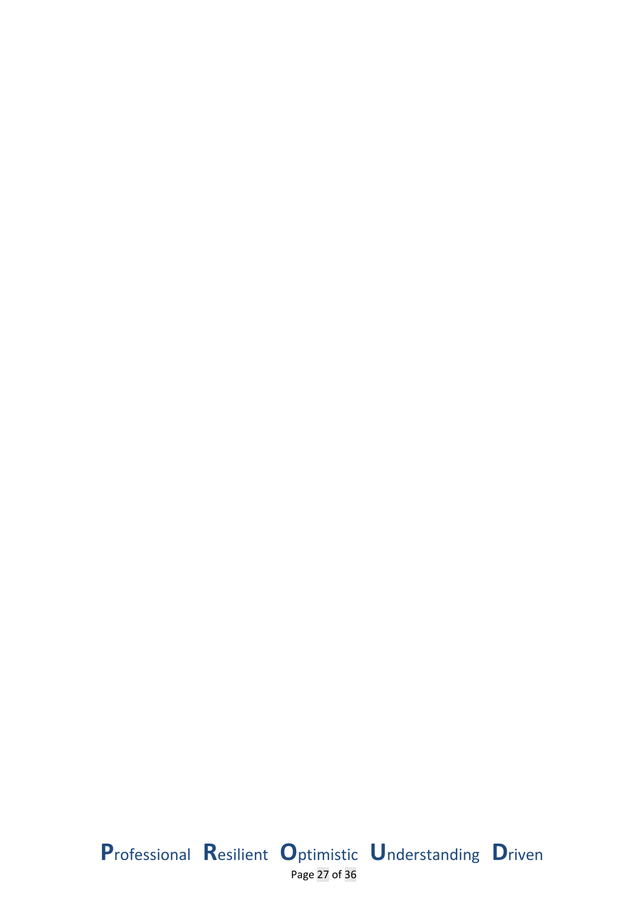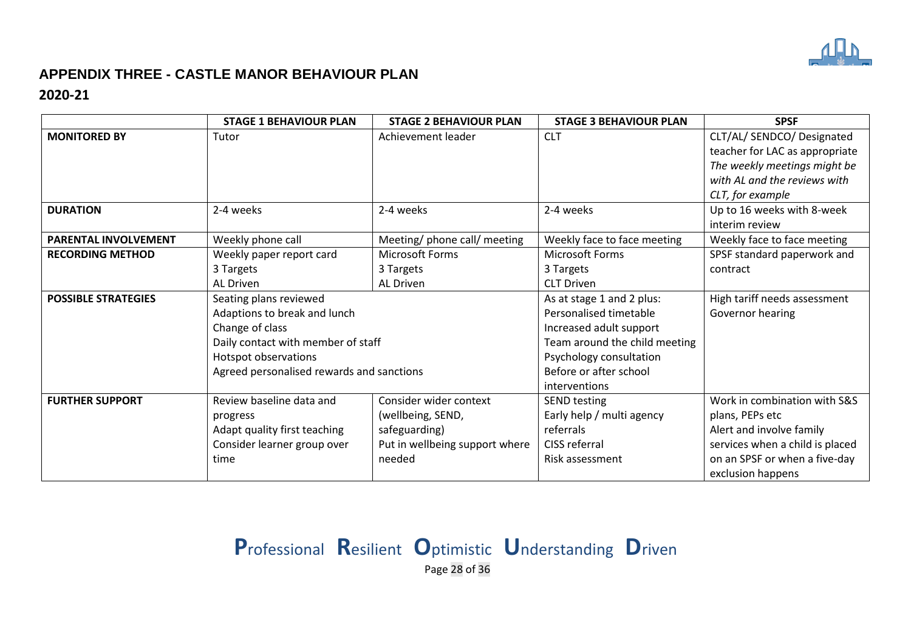

## **APPENDIX THREE - CASTLE MANOR BEHAVIOUR PLAN**

## **2020-21**

<span id="page-27-0"></span>

|                             | <b>STAGE 1 BEHAVIOUR PLAN</b>             | <b>STAGE 2 BEHAVIOUR PLAN</b>  | <b>STAGE 3 BEHAVIOUR PLAN</b> | <b>SPSF</b>                     |
|-----------------------------|-------------------------------------------|--------------------------------|-------------------------------|---------------------------------|
| <b>MONITORED BY</b>         | Tutor                                     | Achievement leader             | <b>CLT</b>                    | CLT/AL/ SENDCO/ Designated      |
|                             |                                           |                                |                               | teacher for LAC as appropriate  |
|                             |                                           |                                |                               | The weekly meetings might be    |
|                             |                                           |                                |                               | with AL and the reviews with    |
|                             |                                           |                                |                               | CLT, for example                |
| <b>DURATION</b>             | 2-4 weeks                                 | 2-4 weeks                      | 2-4 weeks                     | Up to 16 weeks with 8-week      |
|                             |                                           |                                |                               | interim review                  |
| <b>PARENTAL INVOLVEMENT</b> | Weekly phone call                         | Meeting/ phone call/ meeting   | Weekly face to face meeting   | Weekly face to face meeting     |
| <b>RECORDING METHOD</b>     | Weekly paper report card                  | Microsoft Forms                | Microsoft Forms               | SPSF standard paperwork and     |
|                             | 3 Targets                                 | 3 Targets                      | 3 Targets                     | contract                        |
|                             | AL Driven                                 | AL Driven                      | <b>CLT Driven</b>             |                                 |
| <b>POSSIBLE STRATEGIES</b>  | Seating plans reviewed                    |                                | As at stage 1 and 2 plus:     | High tariff needs assessment    |
|                             | Adaptions to break and lunch              |                                | Personalised timetable        | Governor hearing                |
|                             | Change of class                           |                                | Increased adult support       |                                 |
|                             | Daily contact with member of staff        |                                | Team around the child meeting |                                 |
|                             | Hotspot observations                      |                                | Psychology consultation       |                                 |
|                             | Agreed personalised rewards and sanctions |                                | Before or after school        |                                 |
|                             |                                           |                                | interventions                 |                                 |
| <b>FURTHER SUPPORT</b>      | Review baseline data and                  | Consider wider context         | <b>SEND testing</b>           | Work in combination with S&S    |
|                             | progress                                  | (wellbeing, SEND,              | Early help / multi agency     | plans, PEPs etc                 |
|                             | Adapt quality first teaching              | safeguarding)                  | referrals                     | Alert and involve family        |
|                             | Consider learner group over               | Put in wellbeing support where | CISS referral                 | services when a child is placed |
|                             | time                                      | needed                         | Risk assessment               | on an SPSF or when a five-day   |
|                             |                                           |                                |                               | exclusion happens               |

## **P**rofessional **R**esilient **O**ptimistic **U**nderstanding **D**riven Page 28 of 36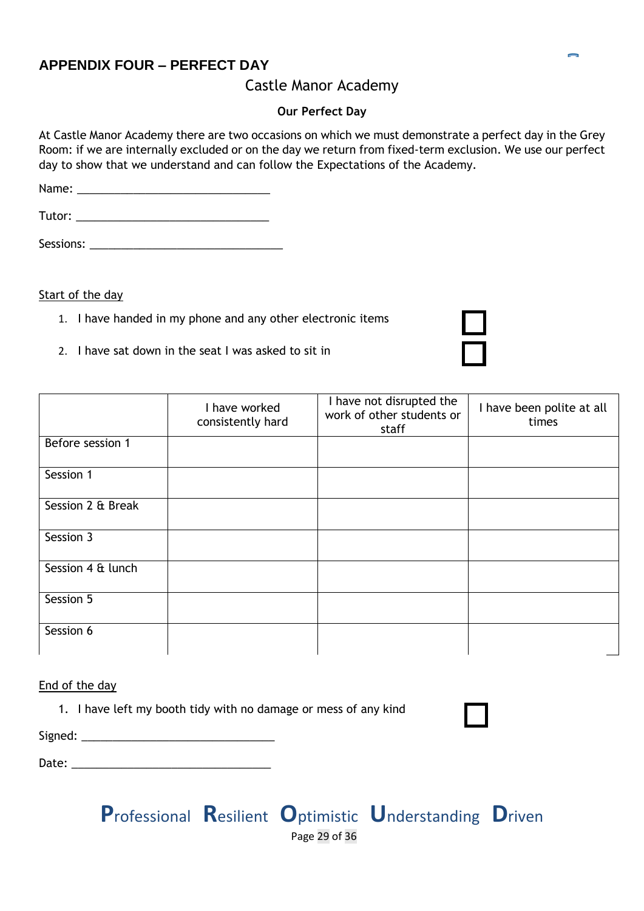## <span id="page-28-0"></span>**APPENDIX FOUR – PERFECT DAY**

## Castle Manor Academy

### **Our Perfect Day**

At Castle Manor Academy there are two occasions on which we must demonstrate a perfect day in the Grey Room: if we are internally excluded or on the day we return from fixed-term exclusion. We use our perfect day to show that we understand and can follow the Expectations of the Academy.

| Name: |
|-------|
|-------|

| Tutor: |  |  |  |
|--------|--|--|--|
|        |  |  |  |

Sessions: \_\_\_\_\_\_\_\_\_\_\_\_\_\_\_\_\_\_\_\_\_\_\_\_\_\_\_\_\_\_\_

Start of the day

- 1. I have handed in my phone and any other electronic items
- 2. I have sat down in the seat I was asked to sit in

|                   | I have worked<br>consistently hard | I have not disrupted the<br>work of other students or<br>staff | I have been polite at all<br>times |
|-------------------|------------------------------------|----------------------------------------------------------------|------------------------------------|
| Before session 1  |                                    |                                                                |                                    |
| Session 1         |                                    |                                                                |                                    |
| Session 2 & Break |                                    |                                                                |                                    |
| Session 3         |                                    |                                                                |                                    |
| Session 4 & lunch |                                    |                                                                |                                    |
| Session 5         |                                    |                                                                |                                    |
| Session 6         |                                    |                                                                |                                    |

### End of the day

1. I have left my booth tidy with no damage or mess of any kind

| Signed:<br>Jisiicu. |  |
|---------------------|--|
|---------------------|--|

Date:

|  |               | Professional Resilient Optimistic Understanding Driven |  |
|--|---------------|--------------------------------------------------------|--|
|  | Page 29 of 36 |                                                        |  |

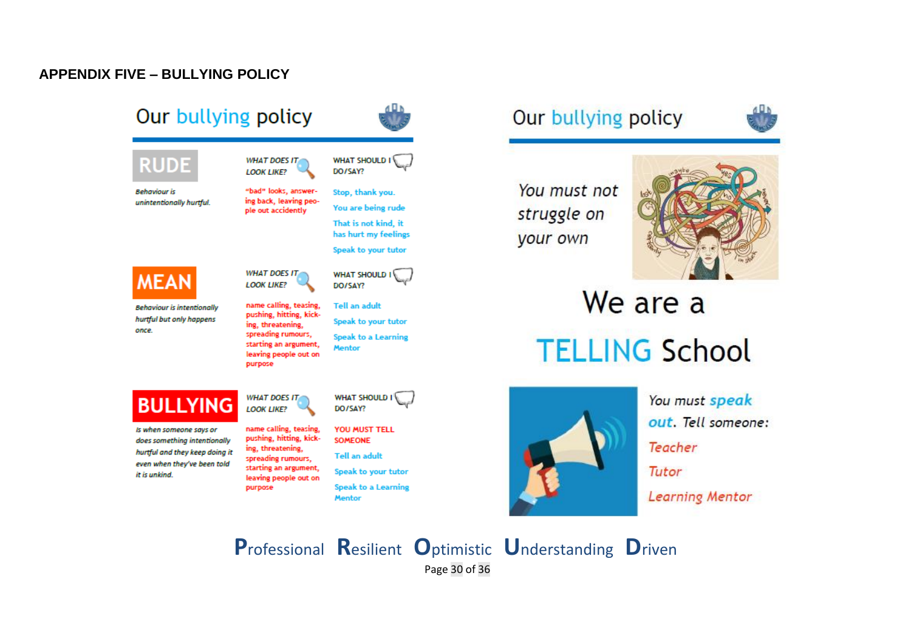## APPENDIX FIVE - RULLYING POLICY

#### Our bullying policy WHAT SHOULD I **WHAT DOES IT** חוו DO/SAY? **LOOK LIKE?** "bad" looks, answer-**Behaviour is** Stop, thank you. unintentionally hurtful. ing back, leaving peo-You are being rude ple out accidently That is not kind, it has hurt my feelings Speak to your tutor **WHAT DOES IT.** WHAT SHOULD I **MEAN LOOK LIKE?** DO/SAY? name calling, teasing, **Tell an adult Behaviour is intentionally** pushing, hitting, kickhurtful but only happens Speak to your tutor ing, threatening. once. spreading rumours. **Speak to a Learning** starting an argument, Mentor leaving people out on purpose **WHAT DOES IT WHAT SHOULD I BULLYING**

<span id="page-29-0"></span>Is when someone says or does something intentionally hurtful and they keep doing it even when they've been told it is unkind

**LOOK LIKE?** name calling, teasing, pushing, hitting, kick-

ing, threatening,

purpose

spreading rumours,

starting an argument,

leaving people out on

DO/SAY?

YOU MUST TELL **SOMEONE** 

**Tell an adult** 

Speak to your tutor **Speak to a Learning Mentor** 



You must not struggle on **Vour own** 



# We are a **TELLING School**



You must speak out. Tell someone: Teacher Tutor Learning Mentor

Professional Resilient Optimistic Understanding Driven Page 30 of 36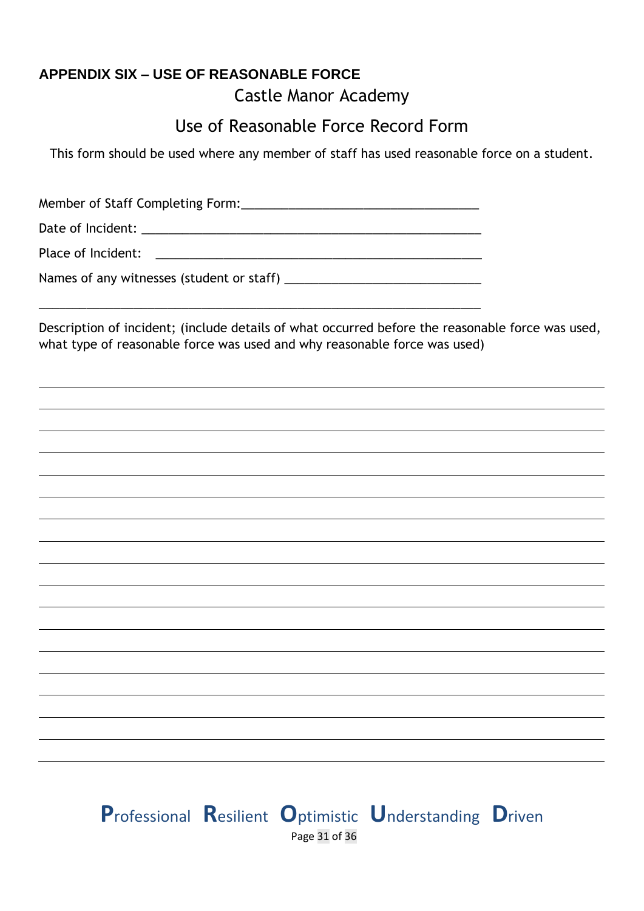## <span id="page-30-0"></span>**APPENDIX SIX - USE OF REASONABLE FORCE Castle Manor Academy**

## Use of Reasonable Force Record Form

This form should be used where any member of staff has used reasonable force on a student.

Place of Incident:

Description of incident; (include details of what occurred before the reasonable force was used, what type of reasonable force was used and why reasonable force was used)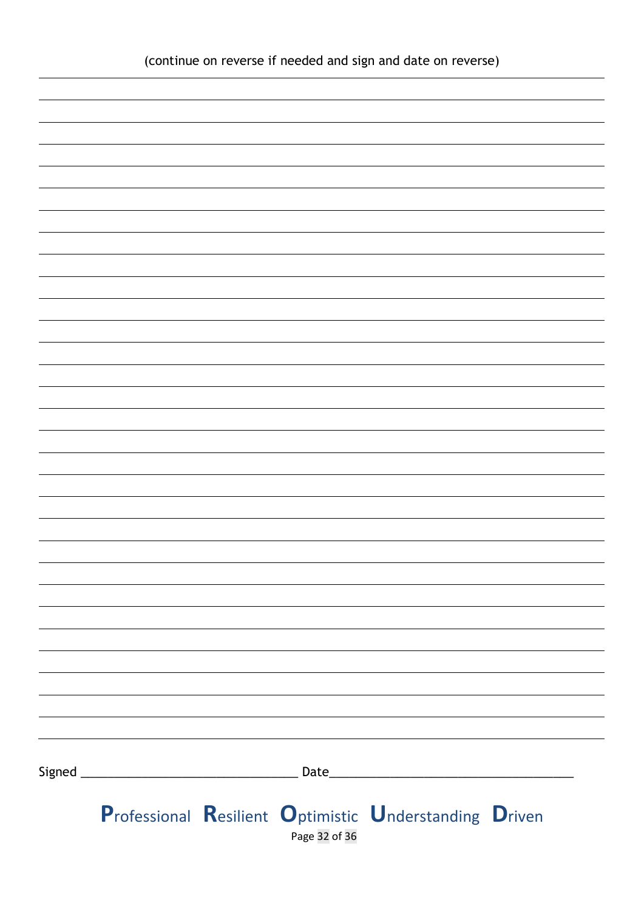| (continue on reverse if needed and sign and date on reverse) |  |  |               |                                                                                  |  |
|--------------------------------------------------------------|--|--|---------------|----------------------------------------------------------------------------------|--|
|                                                              |  |  |               |                                                                                  |  |
|                                                              |  |  |               |                                                                                  |  |
|                                                              |  |  |               |                                                                                  |  |
|                                                              |  |  |               |                                                                                  |  |
|                                                              |  |  |               |                                                                                  |  |
|                                                              |  |  |               |                                                                                  |  |
|                                                              |  |  |               |                                                                                  |  |
|                                                              |  |  |               |                                                                                  |  |
|                                                              |  |  |               |                                                                                  |  |
|                                                              |  |  |               |                                                                                  |  |
|                                                              |  |  |               |                                                                                  |  |
|                                                              |  |  |               |                                                                                  |  |
|                                                              |  |  |               |                                                                                  |  |
|                                                              |  |  |               |                                                                                  |  |
|                                                              |  |  |               |                                                                                  |  |
|                                                              |  |  |               |                                                                                  |  |
|                                                              |  |  |               |                                                                                  |  |
|                                                              |  |  |               |                                                                                  |  |
|                                                              |  |  |               |                                                                                  |  |
|                                                              |  |  |               |                                                                                  |  |
|                                                              |  |  |               |                                                                                  |  |
|                                                              |  |  |               |                                                                                  |  |
|                                                              |  |  |               |                                                                                  |  |
|                                                              |  |  |               | ,我们也不会有什么。""我们的人,我们也不会有什么?""我们的人,我们也不会有什么?""我们的人,我们也不会有什么?""我们的人,我们也不会有什么?""我们的人 |  |
|                                                              |  |  |               |                                                                                  |  |
|                                                              |  |  |               |                                                                                  |  |
|                                                              |  |  |               |                                                                                  |  |
|                                                              |  |  |               |                                                                                  |  |
|                                                              |  |  |               |                                                                                  |  |
|                                                              |  |  |               |                                                                                  |  |
|                                                              |  |  | Page 32 of 36 | Professional Resilient Optimistic Understanding Driven                           |  |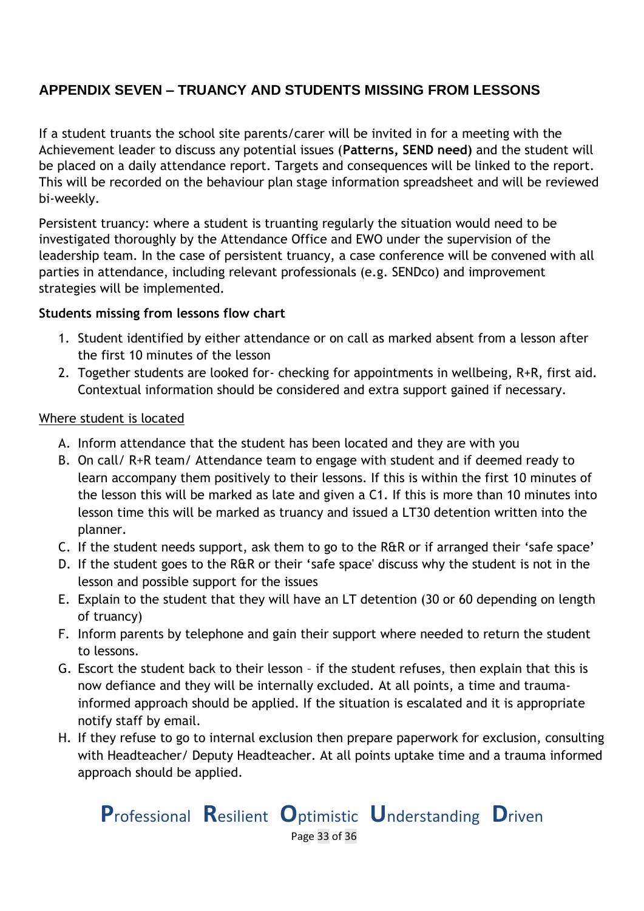## <span id="page-32-0"></span>**APPENDIX SEVEN – TRUANCY AND STUDENTS MISSING FROM LESSONS**

If a student truants the school site parents/carer will be invited in for a meeting with the Achievement leader to discuss any potential issues (**Patterns, SEND need)** and the student will be placed on a daily attendance report. Targets and consequences will be linked to the report. This will be recorded on the behaviour plan stage information spreadsheet and will be reviewed bi-weekly.

Persistent truancy: where a student is truanting regularly the situation would need to be investigated thoroughly by the Attendance Office and EWO under the supervision of the leadership team. In the case of persistent truancy, a case conference will be convened with all parties in attendance, including relevant professionals (e.g. SENDco) and improvement strategies will be implemented.

## **Students missing from lessons flow chart**

- 1. Student identified by either attendance or on call as marked absent from a lesson after the first 10 minutes of the lesson
- 2. Together students are looked for- checking for appointments in wellbeing, R+R, first aid. Contextual information should be considered and extra support gained if necessary.

## Where student is located

- A. Inform attendance that the student has been located and they are with you
- B. On call/ R+R team/ Attendance team to engage with student and if deemed ready to learn accompany them positively to their lessons. If this is within the first 10 minutes of the lesson this will be marked as late and given a C1. If this is more than 10 minutes into lesson time this will be marked as truancy and issued a LT30 detention written into the planner.
- C. If the student needs support, ask them to go to the R&R or if arranged their 'safe space'
- D. If the student goes to the R&R or their 'safe space' discuss why the student is not in the lesson and possible support for the issues
- E. Explain to the student that they will have an LT detention (30 or 60 depending on length of truancy)
- F. Inform parents by telephone and gain their support where needed to return the student to lessons.
- G. Escort the student back to their lesson if the student refuses, then explain that this is now defiance and they will be internally excluded. At all points, a time and traumainformed approach should be applied. If the situation is escalated and it is appropriate notify staff by email.
- H. If they refuse to go to internal exclusion then prepare paperwork for exclusion, consulting with Headteacher/ Deputy Headteacher. At all points uptake time and a trauma informed approach should be applied.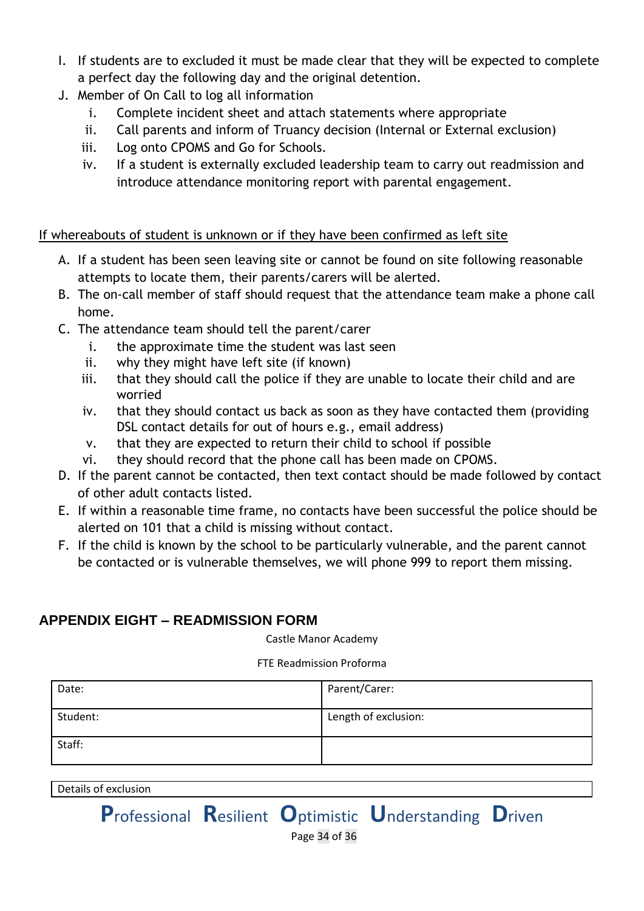- I. If students are to excluded it must be made clear that they will be expected to complete a perfect day the following day and the original detention.
- J. Member of On Call to log all information
	- i. Complete incident sheet and attach statements where appropriate
	- ii. Call parents and inform of Truancy decision (Internal or External exclusion)
	- iii. Log onto CPOMS and Go for Schools.
	- iv. If a student is externally excluded leadership team to carry out readmission and introduce attendance monitoring report with parental engagement.

## If whereabouts of student is unknown or if they have been confirmed as left site

- A. If a student has been seen leaving site or cannot be found on site following reasonable attempts to locate them, their parents/carers will be alerted.
- B. The on-call member of staff should request that the attendance team make a phone call home.
- C. The attendance team should tell the parent/carer
	- i. the approximate time the student was last seen
	- ii. why they might have left site (if known)
	- iii. that they should call the police if they are unable to locate their child and are worried
	- iv. that they should contact us back as soon as they have contacted them (providing DSL contact details for out of hours e.g., email address)
	- v. that they are expected to return their child to school if possible
	- vi. they should record that the phone call has been made on CPOMS.
- D. If the parent cannot be contacted, then text contact should be made followed by contact of other adult contacts listed.
- E. If within a reasonable time frame, no contacts have been successful the police should be alerted on 101 that a child is missing without contact.
- F. If the child is known by the school to be particularly vulnerable, and the parent cannot be contacted or is vulnerable themselves, we will phone 999 to report them missing.

## <span id="page-33-0"></span>**APPENDIX EIGHT – READMISSION FORM**

Castle Manor Academy

FTE Readmission Proforma

| Date:    | Parent/Carer:        |
|----------|----------------------|
| Student: | Length of exclusion: |
| Staff:   |                      |

Details of exclusion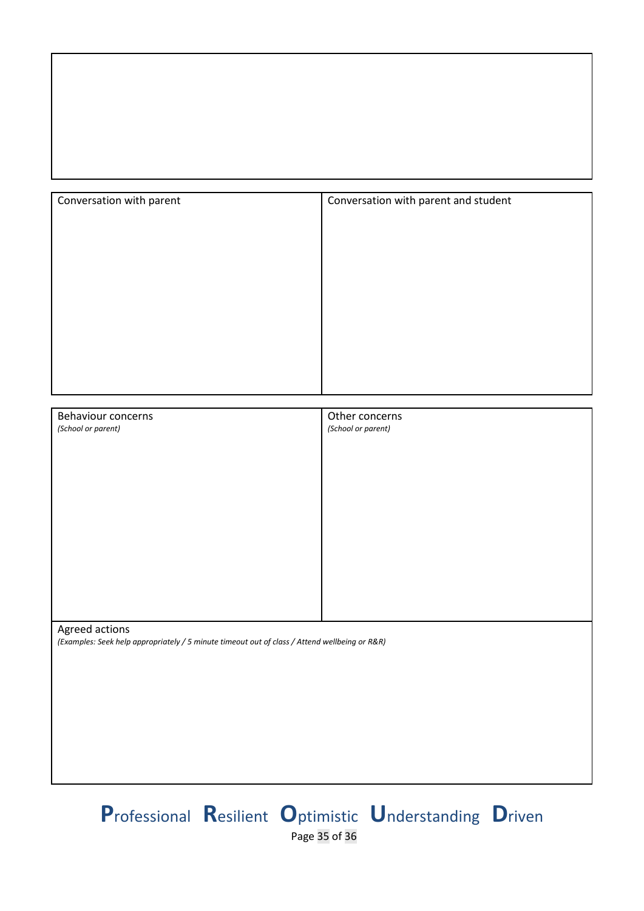| Conversation with parent                                                                      | Conversation with parent and student |
|-----------------------------------------------------------------------------------------------|--------------------------------------|
|                                                                                               |                                      |
|                                                                                               |                                      |
|                                                                                               |                                      |
|                                                                                               |                                      |
|                                                                                               |                                      |
|                                                                                               |                                      |
|                                                                                               |                                      |
|                                                                                               |                                      |
|                                                                                               |                                      |
|                                                                                               |                                      |
|                                                                                               |                                      |
|                                                                                               |                                      |
|                                                                                               |                                      |
|                                                                                               |                                      |
|                                                                                               |                                      |
| Behaviour concerns                                                                            | Other concerns                       |
| (School or parent)                                                                            | (School or parent)                   |
|                                                                                               |                                      |
|                                                                                               |                                      |
|                                                                                               |                                      |
|                                                                                               |                                      |
|                                                                                               |                                      |
|                                                                                               |                                      |
|                                                                                               |                                      |
|                                                                                               |                                      |
|                                                                                               |                                      |
|                                                                                               |                                      |
|                                                                                               |                                      |
|                                                                                               |                                      |
|                                                                                               |                                      |
|                                                                                               |                                      |
|                                                                                               |                                      |
| Agreed actions                                                                                |                                      |
| (Examples: Seek help appropriately / 5 minute timeout out of class / Attend wellbeing or R&R) |                                      |
|                                                                                               |                                      |
|                                                                                               |                                      |
|                                                                                               |                                      |
|                                                                                               |                                      |
|                                                                                               |                                      |
|                                                                                               |                                      |
|                                                                                               |                                      |
|                                                                                               |                                      |
|                                                                                               |                                      |
|                                                                                               |                                      |
|                                                                                               |                                      |

Professional Resilient Optimistic Understanding Driven

Page 35 of 36